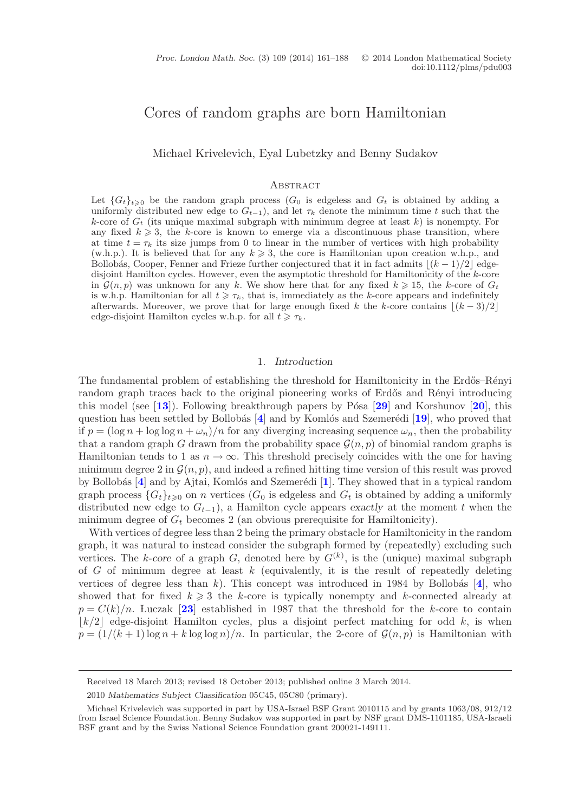# Cores of random graphs are born Hamiltonian

Michael Krivelevich, Eyal Lubetzky and Benny Sudakov

#### **ABSTRACT**

Let  ${G_t}_{t\geq 0}$  be the random graph process  $(G_0$  is edgeless and  $G_t$  is obtained by adding a uniformly distributed new edge to  $G_{t-1}$ ), and let  $\tau_k$  denote the minimum time t such that the k-core of  $G_t$  (its unique maximal subgraph with minimum degree at least  $k$ ) is nonempty. For any fixed  $k \geqslant 3$ , the k-core is known to emerge via a discontinuous phase transition, where at time  $t = \tau_k$  its size jumps from 0 to linear in the number of vertices with high probability (w.h.p.). It is believed that for any  $k \geqslant 3$ , the core is Hamiltonian upon creation w.h.p., and Bollobás, Cooper, Fenner and Frieze further conjectured that it in fact admits  $\lfloor (k-1)/2 \rfloor$  edgedisjoint Hamilton cycles. However, even the asymptotic threshold for Hamiltonicity of the k-core in  $\mathcal{G}(n, p)$  was unknown for any k. We show here that for any fixed  $k \geq 15$ , the k-core of  $G_t$ is w.h.p. Hamiltonian for all  $t \geq \tau_k$ , that is, immediately as the k-core appears and indefinitely afterwards. Moreover, we prove that for large enough fixed k the k-core contains  $\lfloor (k-3)/2 \rfloor$ edge-disjoint Hamilton cycles w.h.p. for all  $t \geq \tau_k$ .

#### 1. *Introduction*

The fundamental problem of establishing the threshold for Hamiltonicity in the Erdős–Rényi random graph traces back to the original pioneering works of Erdős and Rényi introducing this model (see [**[13](#page-27-0)**]). Following breakthrough papers by P´osa [**[29](#page-27-1)**] and Korshunov [**[20](#page-27-2)**], this question has been settled by Bollobás  $\vec{A}$  and by Komlós and Szemerédi  $\vec{B}$ , who proved that if  $p = (\log n + \log \log n + \omega_n)/n$  for any diverging increasing sequence  $\omega_n$ , then the probability that a random graph G drawn from the probability space  $\mathcal{G}(n, p)$  of binomial random graphs is Hamiltonian tends to 1 as  $n \to \infty$ . This threshold precisely coincides with the one for having minimum degree 2 in  $\mathcal{G}(n, p)$ , and indeed a refined hitting time version of this result was proved by Bollobás [[4](#page-26-0)] and by Ajtai, Komlós and Szemerédi [[1](#page-26-1)]. They showed that in a typical random graph process  ${G_t}_{t\geq 0}$  on *n* vertices  $(G_0$  is edgeless and  $G_t$  is obtained by adding a uniformly distributed new edge to  $G_{t-1}$  a Hamilton cycle appears exactly at the moment t when the distributed new edge to  $G_{t-1}$ ), a Hamilton cycle appears *exactly* at the moment t when the minimum degree of  $G_t$  becomes 2 (an obvious prerequisite for Hamiltonicity).

With vertices of degree less than 2 being the primary obstacle for Hamiltonicity in the random graph, it was natural to instead consider the subgraph formed by (repeatedly) excluding such vertices. The k-*core* of a graph G, denoted here by  $G^{(k)}$ , is the (unique) maximal subgraph<br>of G of minimum degree at least k (equivalently it is the result of repeatedly deleting of G of minimum degree at least  $k$  (equivalently, it is the result of repeatedly deleting vertices of degree less than k). This concept was introduced in 198[4](#page-26-0) by Bollobás  $[4]$ , who showed that for fixed  $k \geq 3$  the k-core is typically nonempty and k-connected already at  $n - C(k)/n$ . Luccak [23] established in 1987 that the threshold for the k-core to contain  $p = C(k)/n$ . Luczak [[23](#page-27-4)] established in 1987 that the threshold for the k-core to contain<br> $\lfloor k/2 \rfloor$  edge-disjoint Hamilton cycles, plus a disjoint perfect matching for odd k is when  $|k/2|$  edge-disjoint Hamilton cycles, plus a disjoint perfect matching for odd k, is when  $p = (1/(k+1)\log n + k \log \log n)/n$ . In particular, the 2-core of  $\mathcal{G}(n, p)$  is Hamiltonian with

Received 18 March 2013; revised 18 October 2013; published online 3 March 2014.

<sup>2010</sup> *Mathematics Subject Classification* 05C45, 05C80 (primary).

Michael Krivelevich was supported in part by USA-Israel BSF Grant 2010115 and by grants 1063/08, 912/12 from Israel Science Foundation. Benny Sudakov was supported in part by NSF grant DMS-1101185, USA-Israeli BSF grant and by the Swiss National Science Foundation grant 200021-149111.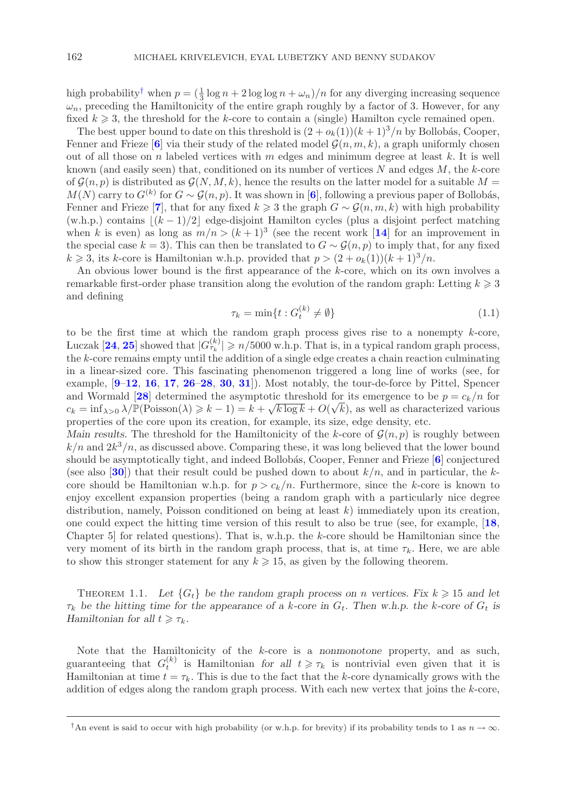high probability<sup>[†](#page-1-0)</sup> when  $p = (\frac{1}{3} \log n + 2 \log \log n + \omega_n)/n$  for any diverging increasing sequence  $\omega_n$ , preceding the Hamiltonicity of the entire graph roughly by a factor of 3. However, for any  $\omega_n$ , preceding the Hamiltonicity of the entire graph roughly by a factor of 3. However, for any fixed  $k \geq 3$ , the threshold for the k-core to contain a (single) Hamilton cycle remained open.<br>The best upper bound to date on this threshold is  $(2 + \alpha (1)) (k + 1)^3/n$  by Bollobás. Cooper

The best upper bound to date on this threshold is  $(2 + o_k(1)) (k + 1)^3/n$  by Bollobás, Cooper, Fenner and Frieze [[6](#page-26-2)] via their study of the related model  $\mathcal{G}(n, m, k)$ , a graph uniformly chosen out of all those on n labeled vertices with m edges and minimum degree at least  $k$ . It is well known (and easily seen) that, conditioned on its number of vertices  $N$  and edges  $M$ , the k-core of  $\mathcal{G}(n, p)$  is distributed as  $\mathcal{G}(N, M, k)$ , hence the results on the latter model for a suitable  $M =$  $M(N)$  carry to  $G^{(k)}$  for  $G \sim \mathcal{G}(n, p)$ . It was shown in [[6](#page-26-2)], following a previous paper of Bollobás, Fenner and Frieze [**[7](#page-26-3)**], that for any fixed  $k \geqslant 3$  the graph  $G \sim \mathcal{G}(n, m, k)$  with high probability (w.b.p.) contains  $\lfloor (k-1)/2 \rfloor$  edge-disjoint Hamilton cycles (plus a disjoint perfect matching (w.h.p.) contains  $|(k-1)/2|$  edge-disjoint Hamilton cycles (plus a disjoint perfect matching when k is even) as long as  $m/n > (k+1)^3$  (see the recent work [[14](#page-27-5)] for an improvement in the special case  $k = 3$ ). This can then be translated to  $G \sim \mathcal{G}(n, p)$  to imply that, for any fixed  $k \geqslant 3$ , its k-core is Hamiltonian w.h.p. provided that  $p > (2 + o_k(1))(k+1)^3/n$ .<br>An obvious lower bound is the first appearance of the k-core, which on its c

An obvious lower bound is the first appearance of the k-core, which on its own involves a remarkable first-order phase transition along the evolution of the random graph: Letting  $k \geqslant 3$ <br>and defining and defining

$$
\tau_k = \min\{t : G_t^{(k)} \neq \emptyset\} \tag{1.1}
$$

to be the first time at which the random graph process gives rise to a nonempty  $k$ -core, Luczak  $[24, 25]$  $[24, 25]$  $[24, 25]$  $[24, 25]$  $[24, 25]$  showed that  $|G_{\tau_k}^{(k)}| \geq n/5000$  w.h.p. That is, in a typical random graph process, the *k*-core remains empty until the addition of a single edge creates a chain reaction culminating the k-core remains empty until the addition of a single edge creates a chain reaction culminating in a linear-sized core. This fascinating phenomenon triggered a long line of works (see, for example, [**[9](#page-26-4)**–**[12](#page-27-8)**, **[16](#page-27-9)**, **[17](#page-27-10)**, **[26](#page-27-11)**–**[28](#page-27-12)**, **[30](#page-27-13)**, **[31](#page-27-14)**]). Most notably, the tour-de-force by Pittel, Spencer and Wormald [[28](#page-27-12)] determined the asymptotic threshold for its emergence to be  $p = c_k/n$  for  $c_k = \inf_{\lambda \in \Lambda} \frac{\lambda}{p(\text{Poisson}(\lambda))} > k - 1 - k + \sqrt{k \log k} + O(\sqrt{k})$  as well as characterized various and wormand [26] determined the asymptotic threshold for its emergence to be  $p = c_k/n$  for  $c_k = \inf_{\lambda > 0} \lambda / \mathbb{P}(\text{Poisson}(\lambda) \ge k - 1) = k + \sqrt{k \log k} + O(\sqrt{k})$ , as well as characterized various properties of the core upon its creation properties of the core upon its creation, for example, its size, edge density, etc.

*Main results.* The threshold for the Hamiltonicity of the k-core of  $\mathcal{G}(n, p)$  is roughly between  $k/n$  and  $2k^3/n$ , as discussed above. Comparing these, it was long believed that the lower bound should be asymptotically tight, and indeed Bollobás, Cooper, Fenner and Frieze [[6](#page-26-2)] conjectured (see also  $[30]$  $[30]$  $[30]$ ) that their result could be pushed down to about  $k/n$ , and in particular, the kcore should be Hamiltonian w.h.p. for  $p>c_k/n$ . Furthermore, since the k-core is known to enjoy excellent expansion properties (being a random graph with a particularly nice degree distribution, namely, Poisson conditioned on being at least  $k$ ) immediately upon its creation, one could expect the hitting time version of this result to also be true (see, for example, [**[18](#page-27-15)**, Chapter 5 for related questions). That is, w.h.p. the  $k$ -core should be Hamiltonian since the very moment of its birth in the random graph process, that is, at time  $\tau_k$ . Here, we are able to show this stronger statement for any  $k \geqslant 15$ , as given by the following theorem.

THEOREM 1.1. Let  $\{G_t\}$  be the random graph process on *n* vertices. Fix  $k \geq 15$  and let be hitting time for the appearance of a *k*-core in *G*. Then w h n the *k*-core of *G*, is  $\tau_k$  be the hitting time for the appearance of a k-core in  $G_t$ . Then w.h.p. the k-core of  $G_t$  is *Hamiltonian for all*  $t \geqslant \tau_k$ .

Note that the Hamiltonicity of the k-core is a *nonmonotone* property, and as such, guaranteeing that  $G_t^{(k)}$  is Hamiltonian *for all*  $t \geq \tau_k$  is nontrivial even given that it is Hamiltonian at time  $t - \tau$ . This is due to the fact that the *k*-core dynamically grows with the Hamiltonian at time  $t = \tau_k$ . This is due to the fact that the k-core dynamically grows with the addition of edges along the random graph process. With each new vertex that joins the  $k$ -core,

<span id="page-1-0"></span><sup>&</sup>lt;sup>†</sup>An event is said to occur with high probability (or w.h.p. for brevity) if its probability tends to 1 as  $n \to \infty$ .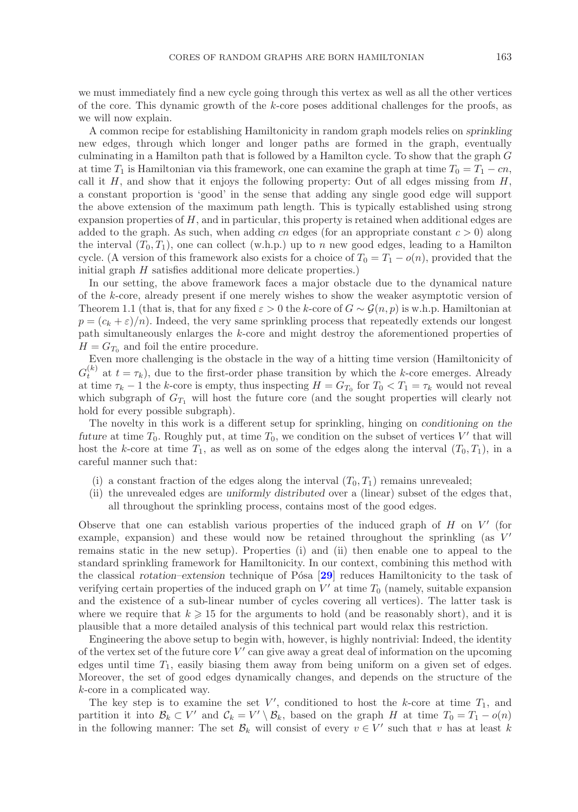we must immediately find a new cycle going through this vertex as well as all the other vertices of the core. This dynamic growth of the  $k$ -core poses additional challenges for the proofs, as we will now explain.

A common recipe for establishing Hamiltonicity in random graph models relies on *sprinkling* new edges, through which longer and longer paths are formed in the graph, eventually culminating in a Hamilton path that is followed by a Hamilton cycle. To show that the graph G at time  $T_1$  is Hamiltonian via this framework, one can examine the graph at time  $T_0 = T_1 - cn$ , call it  $H$ , and show that it enjoys the following property: Out of all edges missing from  $H$ , a constant proportion is 'good' in the sense that adding any single good edge will support the above extension of the maximum path length. This is typically established using strong expansion properties of  $H$ , and in particular, this property is retained when additional edges are added to the graph. As such, when adding cn edges (for an appropriate constant  $c > 0$ ) along the interval  $(T_0, T_1)$ , one can collect (w.h.p.) up to n new good edges, leading to a Hamilton cycle. (A version of this framework also exists for a choice of  $T_0 = T_1 - o(n)$ , provided that the initial graph H satisfies additional more delicate properties.)

In our setting, the above framework faces a major obstacle due to the dynamical nature of the k-core, already present if one merely wishes to show the weaker asymptotic version of Theorem 1.1 (that is, that for any fixed  $\varepsilon > 0$  the k-core of  $G \sim \mathcal{G}(n, p)$  is w.h.p. Hamiltonian at  $p = (c_k + \varepsilon)/n$ . Indeed, the very same sprinkling process that repeatedly extends our longest path simultaneously enlarges the k-core and might destroy the aforementioned properties of  $H = G_{T_0}$  and foil the entire procedure.

Even more challenging is the obstacle in the way of a hitting time version (Hamiltonicity of  $G_t^{(k)}$  at  $t = \tau_k$ ), due to the first-order phase transition by which the k-core emerges. Already at time  $\tau_k - 1$  the k-core is empty, thus inspecting  $H = G_{T_0}$  for  $T_0 < T_1 = \tau_k$  would not reveal which subgraph of  $G_{T_1}$  will host the future core (and the sought properties will clearly not hold for every possible subgraph).

The novelty in this work is a different setup for sprinkling, hinging on *conditioning on the future* at time  $T_0$ . Roughly put, at time  $T_0$ , we condition on the subset of vertices V' that will host the k-core at time  $T_1$  as well as on some of the edges along the interval  $(T_2, T_1)$  in a host the k-core at time  $T_1$ , as well as on some of the edges along the interval  $(T_0, T_1)$ , in a careful manner such that:

- (i) a constant fraction of the edges along the interval  $(T_0, T_1)$  remains unrevealed;
- (ii) the unrevealed edges are *uniformly distributed* over a (linear) subset of the edges that, all throughout the sprinkling process, contains most of the good edges.

Observe that one can establish various properties of the induced graph of  $H$  on  $V'$  (for example expansion) and these would now be retained throughout the sprinkling (as  $V'$ example, expansion) and these would now be retained throughout the sprinkling (as  $V'$  remains static in the new setup). Properties (i) and (ii) then enable one to appeal to the remains static in the new setup). Properties (i) and (ii) then enable one to appeal to the standard sprinkling framework for Hamiltonicity. In our context, combining this method with the classical *rotation–extension* technique of Pósa [[29](#page-27-1)] reduces Hamiltonicity to the task of verifying certain properties of the induced graph on  $V'$  at time  $T_0$  (namely, suitable expansion<br>and the existence of a sub-linear number of cycles covering all vertices). The latter task is and the existence of a sub-linear number of cycles covering all vertices). The latter task is where we require that  $k \geqslant 15$  for the arguments to hold (and be reasonably short), and it is<br>plausible that a more detailed analysis of this technical part would relay this restriction plausible that a more detailed analysis of this technical part would relax this restriction.

Engineering the above setup to begin with, however, is highly nontrivial: Indeed, the identity of the vertex set of the future core  $V'$  can give away a great deal of information on the upcoming<br>edges until time  $T_1$  easily biasing them away from being uniform on a given set of edges edges until time  $T_1$ , easily biasing them away from being uniform on a given set of edges. Moreover, the set of good edges dynamically changes, and depends on the structure of the k-core in a complicated way.

The key step is to examine the set V', conditioned to host the k-core at time  $T_1$ , and rition it into  $\mathcal{B}_1 \subset V'$  and  $\mathcal{C}_2 = V' \setminus \mathcal{B}_2$ , based on the graph H at time  $T_2 = T_1 = o(n)$ partition it into  $\mathcal{B}_k \subset V'$  and  $\mathcal{C}_k = V' \setminus \mathcal{B}_k$ , based on the graph H at time  $T_0 = T_1 - o(n)$ <br>in the following manner: The set  $\mathcal{B}_k$  will consist of every  $v \in V'$  such that y has at least k in the following manner: The set  $\mathcal{B}_k$  will consist of every  $v \in V'$  such that v has at least k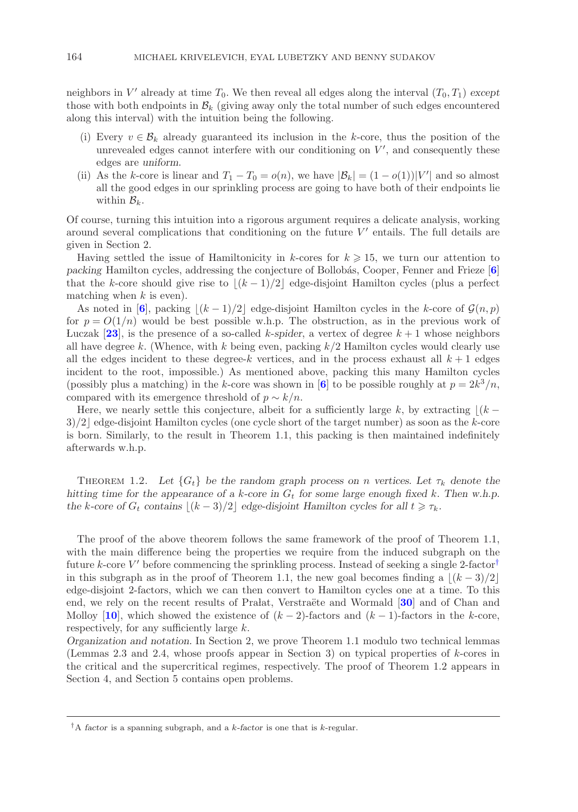neighbors in  $V'$  already at time  $T_0$ . We then reveal all edges along the interval  $(T_0, T_1)$  *except*<br>those with both endpoints in  $\mathcal{B}_t$  (giving away only the total number of such edges encountered those with both endpoints in  $\mathcal{B}_k$  (giving away only the total number of such edges encountered along this interval) with the intuition being the following.

- (i) Every  $v \in \mathcal{B}_k$  already guaranteed its inclusion in the k-core, thus the position of the unrevealed edges cannot interfere with our conditioning on  $V'$ , and consequently these<br>edges are uniform edges are *uniform*.
- (ii) As the k-core is linear and  $T_1 T_0 = o(n)$ , we have  $|\mathcal{B}_k| = (1 o(1)) |V'|$  and so almost all the good edges in our sprinkling process are going to have both of their endpoints lie all the good edges in our sprinkling process are going to have both of their endpoints lie within  $\mathcal{B}_k$ .

Of course, turning this intuition into a rigorous argument requires a delicate analysis, working around several complications that conditioning on the future  $V'$  entails. The full details are<br>given in Section 2 given in Section 2.

Having settled the issue of Hamiltonicity in k-cores for  $k \geqslant 15$ , we turn our attention to cking Hamilton cycles, addressing the conjecture of Bollobás. Cooper, Fenner and Frieze [6] *packing* Hamilton cycles, addressing the conjecture of Bollob´as, Cooper, Fenner and Frieze [**[6](#page-26-2)**] that the k-core should give rise to  $|(k-1)/2|$  edge-disjoint Hamilton cycles (plus a perfect matching when  $k$  is even).

As noted in  $[6]$  $[6]$  $[6]$ , packing  $|(k-1)/2|$  edge-disjoint Hamilton cycles in the k-core of  $\mathcal{G}(n, p)$ for  $p = O(1/n)$  would be best possible w.h.p. The obstruction, as in the previous work of Luczak [[23](#page-27-4)], is the presence of a so-called k-spider, a vertex of degree  $k + 1$  whose neighbors<br>all have degree k. (Whence with k being even packing  $k/2$  Hamilton cycles would clearly use all have degree k. (Whence, with k being even, packing  $k/2$  Hamilton cycles would clearly use all the edges incident to these degree-k vertices, and in the process exhaust all  $k+1$  edges incident to the root, impossible.) As mentioned above, packing this many Hamilton cycles (possibly plus a matching) in the k-core was shown in [[6](#page-26-2)] to be possible roughly at  $p = 2k^3/n$ , compared with its emergence threshold of  $p \sim k/n$ .

Here, we nearly settle this conjecture, albeit for a sufficiently large k, by extracting  $|(k 3/2$  edge-disjoint Hamilton cycles (one cycle short of the target number) as soon as the k-core is born. Similarly, to the result in Theorem 1.1, this packing is then maintained indefinitely afterwards w.h.p.

THEOREM 1.2. Let  ${G_t}$  be the random graph process on *n* vertices. Let  $\tau_k$  denote the *hitting time for the appearance of a*  $k$ -core in  $G_t$  for some large enough fixed  $k$ . Then w.h.p. *the* k-core of  $G_t$  contains  $\lfloor (k-3)/2 \rfloor$  edge-disjoint Hamilton cycles for all  $t \ge \tau_k$ .

The proof of the above theorem follows the same framework of the proof of Theorem 1.1, with the main difference being the properties we require from the induced subgraph on the future k-core V' before commencing the sprinkling process. Instead of seeking a single 2-factor<sup>[†](#page-3-0)</sup><br>in this subgraph as in the proof of Theorem 1.1, the new goal becomes finding a  $\lfloor (k-3)/2 \rfloor$ in this subgraph as in the proof of Theorem 1.1, the new goal becomes finding a  $\lfloor (k-3)/2 \rfloor$ edge-disjoint 2-factors, which we can then convert to Hamilton cycles one at a time. To this end, we rely on the recent results of Pralat, Verstraëte and Wormald [[30](#page-27-13)] and of Chan and Molloy [**[10](#page-26-5)**], which showed the existence of  $(k-2)$ -factors and  $(k-1)$ -factors in the k-core, respectively, for any sufficiently large  $k$ .

*Organization and notation.* In Section 2, we prove Theorem 1.1 modulo two technical lemmas (Lemmas 2.3 and 2.4, whose proofs appear in Section 3) on typical properties of k-cores in the critical and the supercritical regimes, respectively. The proof of Theorem 1.2 appears in Section 4, and Section 5 contains open problems.

<span id="page-3-0"></span>*<sup>†</sup>*A *factor* is a spanning subgraph, and a *k-factor* is one that is *k*-regular.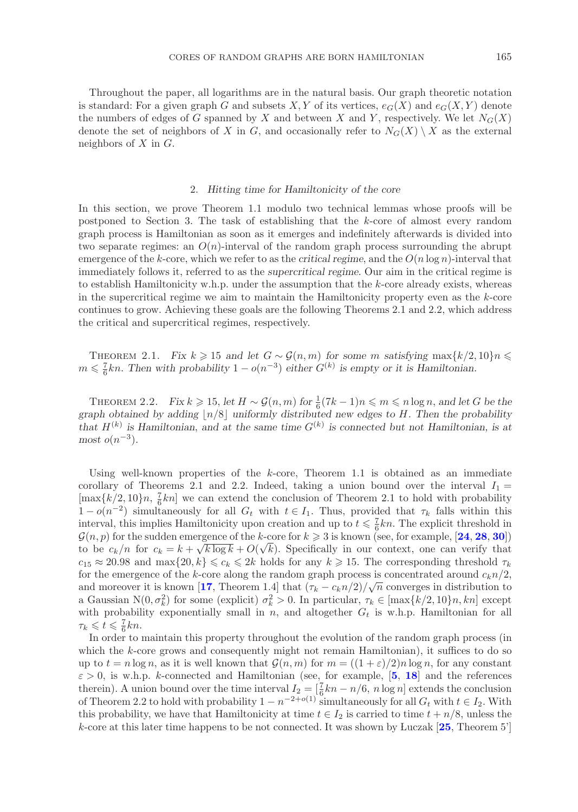Throughout the paper, all logarithms are in the natural basis. Our graph theoretic notation is standard: For a given graph G and subsets X, Y of its vertices,  $e_G(X)$  and  $e_G(X, Y)$  denote the numbers of edges of G spanned by X and between X and Y, respectively. We let  $N_G(X)$ denote the set of neighbors of X in G, and occasionally refer to  $N_G(X) \setminus X$  as the external neighbors of  $X$  in  $G$ .

### 2. *Hitting time for Hamiltonicity of the core*

In this section, we prove Theorem 1.1 modulo two technical lemmas whose proofs will be postponed to Section 3. The task of establishing that the k-core of almost every random graph process is Hamiltonian as soon as it emerges and indefinitely afterwards is divided into two separate regimes: an  $O(n)$ -interval of the random graph process surrounding the abrupt emergence of the k-core, which we refer to as the *critical regime*, and the  $O(n \log n)$ -interval that immediately follows it, referred to as the *supercritical regime*. Our aim in the critical regime is to establish Hamiltonicity w.h.p. under the assumption that the k-core already exists, whereas in the supercritical regime we aim to maintain the Hamiltonicity property even as the  $k$ -core continues to grow. Achieving these goals are the following Theorems 2.1 and 2.2, which address the critical and supercritical regimes, respectively.

THEOREM 2.1. *Fix*  $k \ge 15$  and let  $G \sim \mathcal{G}(n, m)$  for some m satisfying  $\max\{k/2, 10\}n \le$ <br>  $\leq I_{kn}$  Then with probability  $1 - o(n^{-3})$  either  $G^{(k)}$  is empty or it is Hamiltonian  $m \leq \frac{7}{6}kn$ . Then with probability  $1 - o(n^{-3})$  *either*  $G^{(k)}$  *is empty or it is Hamiltonian.* 

THEOREM 2.2. *Fix*  $k \ge 15$ , let  $H \sim \mathcal{G}(n,m)$  for  $\frac{1}{6}(7k-1)n \le m \le n \log n$ , and let G be the probability and  $\log n \le 1$ . Then the probability *graph obtained by adding*  $|n/8|$  *uniformly distributed new edges to H. Then the probability that*  $H^{(k)}$  *is Hamiltonian, and at the same time*  $G^{(k)}$  *is connected but not Hamiltonian, is at*  $most$   $o(n^{-3})$ *.* 

Using well-known properties of the  $k$ -core, Theorem 1.1 is obtained as an immediate corollary of Theorems 2.1 and 2.2. Indeed, taking a union bound over the interval  $I_1 =$  $[\max\{k/2, 10\}n, \frac{7}{6}kn]$  we can extend the conclusion of Theorem 2.1 to hold with probability  $1 - o(n^{-2})$  simultaneously for all  $G_k$  with  $t \in I$ . Thus provided that  $\tau_k$  falls within this  $1-o(n^{-2})$  simultaneously for all  $G_t$  with  $t \in I_1$ . Thus, provided that  $\tau_k$  falls within this interval, this implies Hamiltonicity upon creation and up to  $t \leq \frac{7}{6}kn$ . The explicit threshold in  $G(n, n)$  for the sudden emergence of the k-core for  $k > 3$  is known (see for example [24, 28, 30])  $\mathcal{G}(n, p)$  for the sudden emergence of the k-core for  $k \geq 3$  is known (see, for example, [[24](#page-27-6), [28](#page-27-12), [30](#page-27-13)])<br>to be  $c_1/n$  for  $c_2 = k + \sqrt{k \log k} + O(\sqrt{k})$ . Specifically in our context, one can verify that  $\mathbf{g}(n, p)$  for the sudden emergence of the k-core for  $k \ge 3$  is known (see, for example, [24, 26, 30])<br>to be  $c_k/n$  for  $c_k = k + \sqrt{k \log k} + O(\sqrt{k})$ . Specifically in our context, one can verify that<br> $c_k \ge 20.98$  and max/20 k)  $c_{15} \approx 20.98$  and max $\{20, k\} \leq c_k \leq 2k$  holds for any  $k \geq 15$ . The corresponding threshold  $\tau_k$ <br>for the emergence of the k-core along the random graph process is concentrated around  $c, n/2$ for the emergence of the k-core along the random graph process is concentrated around  $c_k n/2$ ,<br>and moreover it is known [17] Theorem 1.4] that  $(\tau_1 - c_1 n/2) / \sqrt{n}$  converges in distribution to and moreover it is known [[17](#page-27-10), Theorem 1.4] that  $(\tau_k - c_k n/2)/\sqrt{n}$  converges in distribution to a Gaussian N(0,  $\sigma^2$ ) for some (explicit)  $\sigma^2 > 0$ . In particular  $\tau_i \in [\text{max}(k/2, 10]n, kn]$  except a Gaussian  $N(0, \sigma_k^2)$  for some (explicit)  $\sigma_k^2 > 0$ . In particular,  $\tau_k \in [\max\{k/2, 10\}n, kn]$  except<br>with probability exponentially small in n and altogether G, is what Hamiltonian for all with probability exponentially small in n, and altogether  $G_t$  is w.h.p. Hamiltonian for all  $\tau_k \leqslant t \leqslant \frac{7}{6}kn.$ <br>In order to

In order to maintain this property throughout the evolution of the random graph process (in which the k-core grows and consequently might not remain Hamiltonian), it suffices to do so up to  $t = n \log n$ , as it is well known that  $\mathcal{G}(n, m)$  for  $m = ((1 + \varepsilon)/2)n \log n$ , for any constant  $\varepsilon > 0$ , is w.h.p. k-connected and Hamiltonian (see, for example, [[5](#page-26-6), [18](#page-27-15)] and the references therein). A union bound over the time interval  $I_2 = \left[\frac{7}{6}kn - n/6, n \log n\right]$  extends the conclusion<br>of Theorem 2.2 to hold with probability  $1 - n^{-2+o(1)}$  simultaneously for all  $G$ , with  $t \in I_2$ . With of Theorem 2.2 to hold with probability  $1 - n^{-2+o(1)}$  simultaneously for all  $G_t$  with  $t \in I_2$ . With this probability, we have that Hamiltonicity at time  $t \in I_2$  is carried to time  $t + n/8$ , unless the  $k$ -core at this later time happens to be not connected. It was shown by Luczak  $[25,$  $[25,$  $[25,$  Theorem 5<sup>'</sup>]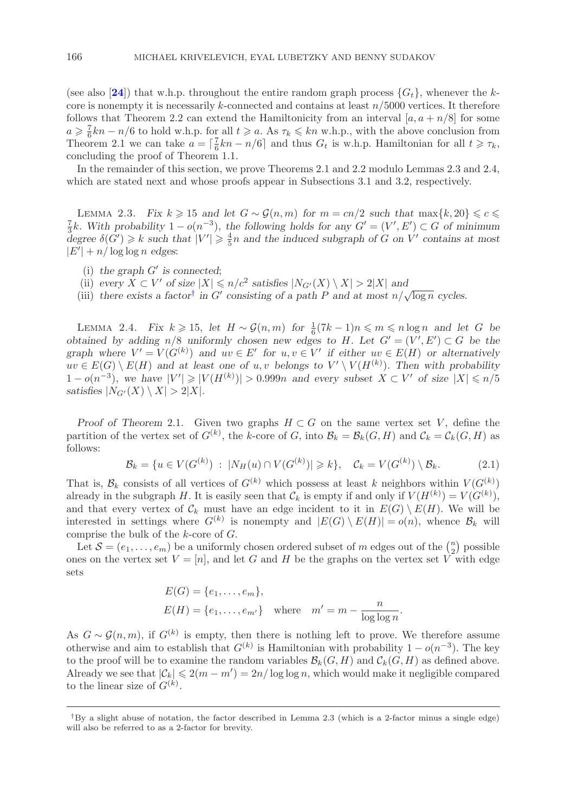(see also [[24](#page-27-6)]) that w.h.p. throughout the entire random graph process  $\{G_t\}$ , whenever the kcore is nonempty it is necessarily k-connected and contains at least  $n/5000$  vertices. It therefore follows that Theorem 2.2 can extend the Hamiltonicity from an interval  $[a, a + n/8]$  for some  $a \geqslant \frac{}{\rm{The}}$  $\geq \frac{1}{6}kn - n/6$  to hold w.h.p. for all  $t \geq a$ . As  $\tau_k \leq k n$  w.h.p., with the above conclusion from  $2.1$  we can take  $a = \lfloor \frac{7}{2}kn - n/6 \rfloor$  and thus  $G_t$  is wh p. Hamiltonian for all  $t \geq \tau_k$ . Theorem 2.1 we can take  $a = \left[\frac{1}{6}kn - n/6\right]$  and thus  $G_t$  is w.h.p. Hamiltonian for all  $t \geq \tau_k$ , concluding the proof of Theorem 1.1 concluding the proof of Theorem 1.1.

In the remainder of this section, we prove Theorems 2.1 and 2.2 modulo Lemmas 2.3 and 2.4, which are stated next and whose proofs appear in Subsections 3.1 and 3.2, respectively.

LEMMA 2.3. Fix  $k \geq 15$  and let  $G \sim \mathcal{G}(n,m)$  for  $m = cn/2$  such that  $\max\{k, 20\} \leq c \leq$ LEMMA 2.3. Fix  $k \ge 15$  and let  $G \sim \mathcal{G}(n,m)$  for  $m = cn/2$  such that  $\max\{k, 20\} \le c \le \frac{7}{3}k$ . With probability  $1 - o(n^{-3})$ , the following holds for any  $G' = (V', E') \subset G$  of minimum degree  $\delta(G') \ge k$  such that  $|V'| \ge \frac{4}{3}n$ degree  $\delta(G') \geq k$  *such that*  $|V'| \geq \frac{4}{5}n$  *and the induced subgraph of* G *on* V' contains at most  $|F'| + n / \log \log n$  edges:  $|E'| + n/\log \log n$  edges:

- (i) the graph  $G'$  is connected;<br>(ii) every  $X \subset V'$  of size  $|X| \le$
- (ii) *every*  $X \subset V'$  of size  $|X| \le n/c^2$  *satisfies*  $|N_{G'}(X) \setminus X| > 2|X|$  *and*<br>(iii) *there exists a factor*<sup>†</sup> in  $G'$  consisting of a nath P and at most n/s
- (ii)  $e^{i\theta}$   $\Delta \subset V$  or size  $|\Delta| \le n/c$  satisfies  $|\log(\Delta)| \le \Delta| \ge 2|\Delta|$  and  $\Delta$  *cycles.*<br>(iii) there exists a factor<sup>[†](#page-5-0)</sup> in *G'* consisting of a path *P* and at most  $n/\sqrt{\log n}$  cycles.

LEMMA 2.4. *Fix*  $k \ge 15$ , *let*  $H \sim \mathcal{G}(n,m)$  *for*  $\frac{1}{6}(7k-1)n \le m \le n \log n$  and *let* G *be tained by adding n/8 uniformly chosen new edges to H Let*  $G' = (V' \ F') \subset G$  *be the obtained by adding*  $n/8$  *uniformly chosen new edges to* H. Let  $G' = (V', E') \subset G$  *be the*<br>*graph where*  $V' - V(G^{(k)})$  and  $uv \in F'$  for  $u, v \in V'$  if either  $uv \in F(H)$  or alternatively  $, E'$ *graph where*  $V' = V(G^{(k)})$  *and*  $uv \in E'$  *for*  $u, v \in V'$  *if either*  $uv \in E(H)$  *or alternatively*<br>*iii*  $\in E(G) \setminus E(H)$  and at least one of  $u, v$  belongs to  $V' \setminus V(H^{(k)})$ . Then with probability  $uv \in E(G) \setminus E(H)$  and at least one of  $u, v$  belongs to  $V'$ <br> $1 - o(n^{-3})$  we have  $|V'| > |V(H^{(k)})| > 0$  999*n* and every  $\langle V(H^{(k)})$ . Then with probability<br>is subset  $X \subset V'$  of size  $|X| \le n/5$  $1-o(n^{-3})$ , we have  $|V'| \geqslant |V(H^{(k)})| > 0.999n$  and every subset  $X \subset V'$  of size  $|X| \leqslant n/5$  satisfies  $|N_{Cl}(X) \setminus X| > 2|X|$ satisfies  $|N_{G'}(X) \setminus X| > 2|X|$ *.* 

*Proof of Theorem* 2.1. Given two graphs  $H \subset G$  on the same vertex set V, define the partition of the vertex set of  $G^{(k)}$ , the k-core of G, into  $\mathcal{B}_k = \mathcal{B}_k(G, H)$  and  $\mathcal{C}_k = \mathcal{C}_k(G, H)$  as follows: follows:

$$
\mathcal{B}_k = \{ u \in V(G^{(k)}) \; : \; |N_H(u) \cap V(G^{(k)})| \ge k \}, \quad \mathcal{C}_k = V(G^{(k)}) \setminus \mathcal{B}_k. \tag{2.1}
$$

That is,  $\mathcal{B}_k$  consists of all vertices of  $G^{(k)}$  which possess at least k neighbors within  $V(G^{(k)})$ <br>already in the subgraph H It is easily seen that C, is empty if and only if  $V(H^{(k)}) - V(G^{(k)})$ already in the subgraph H. It is easily seen that  $\mathcal{C}_k$  is empty if and only if  $V(H^{(k)}) = V(G^{(k)}),$ <br>and that every vertex of  $\mathcal{C}_k$  must have an edge incident to it in  $F(\mathcal{C}) \setminus F(H)$ . We will be and that every vertex of  $\mathcal{C}_k$  must have an edge incident to it in  $E(G) \setminus E(H)$ . We will be interested in settings where  $G^{(k)}$  is nonempty and  $|E(G) \setminus E(H)| = o(n)$ , whence  $\mathcal{B}_k$  will comprise the bulk of the k-core of G.

Let  $\mathcal{S} = (e_1, \ldots, e_m)$  be a uniformly chosen ordered subset of m edges out of the  $\binom{n}{2}$  possible<br>es on the vertex set  $V = [n]$  and let  $G$  and H be the graphs on the vertex set V with edge ones on the vertex set  $V = [n]$ , and let G and H be the graphs on the vertex set V with edge sets sets

$$
E(G) = \{e_1, \dots, e_m\},
$$
  
\n
$$
E(H) = \{e_1, \dots, e_{m'}\} \text{ where } m' = m - \frac{n}{\log \log n}.
$$

As  $G \sim \mathcal{G}(n,m)$ , if  $G^{(k)}$  is empty, then there is nothing left to prove. We therefore assume otherwise and aim to establish that  $G^{(k)}$  is Hamiltonian with probability  $1 - o(n^{-3})$ . The key otherwise and aim to establish that  $G^{(k)}$  is Hamiltonian with probability  $1 - o(n^{-3})$ . The key to the proof will be to examine the random variables  $\mathcal{B}_k(G, H)$  and  $\mathcal{C}_k(G, H)$  as defined above. Already we see that  $|\mathcal{C}_k| \leq 2(m - m') = 2n/\log \log n$ , which would make it negligible compared to the linear size of  $C^{(k)}$ to the linear size of  $G^{(k)}$ .

<span id="page-5-0"></span>*<sup>†</sup>*By a slight abuse of notation, the factor described in Lemma 2.3 (which is a 2-factor minus a single edge) will also be referred to as a 2-factor for brevity.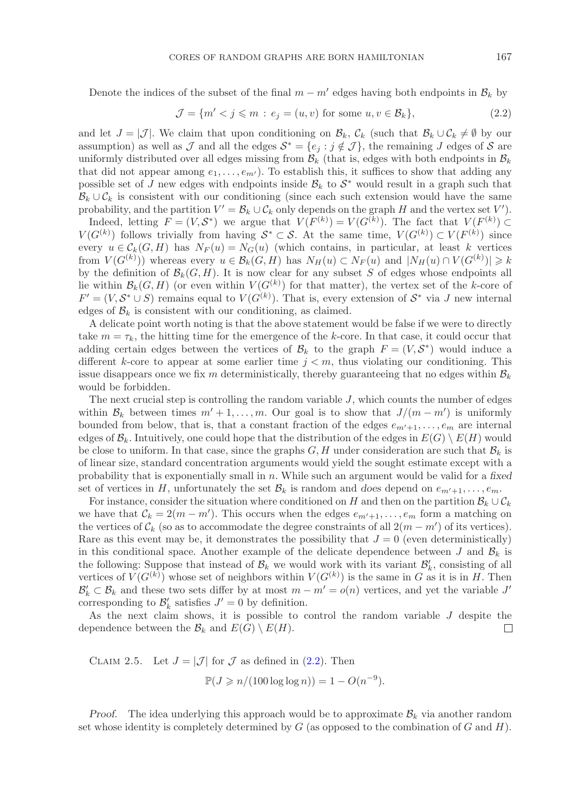Denote the indices of the subset of the final  $m - m'$  edges having both endpoints in  $B_k$  by

<span id="page-6-0"></span>
$$
\mathcal{J} = \{m' < j \leqslant m : e_j = (u, v) \text{ for some } u, v \in \mathcal{B}_k\},\tag{2.2}
$$

and let  $J = |\mathcal{J}|$ . We claim that upon conditioning on  $\mathcal{B}_k$ ,  $\mathcal{C}_k$  (such that  $\mathcal{B}_k \cup \mathcal{C}_k \neq \emptyset$  by our assumption) as well as J and all the edges  $S^* = \{e_i : j \notin J\}$ , the remaining J edges of S are uniformly distributed over all edges missing from  $\mathcal{B}_k$  (that is, edges with both endpoints in  $\mathcal{B}_k$ ) that did not appear among  $e_1, \ldots, e_m$ <br>possible set of *I* new edges with endp that did not appear among  $e_1, \ldots, e_{m'}$ ). To establish this, it suffices to show that adding any possible set of J new edges with endpoints inside  $B_k$  to  $S^*$  would result in a graph such that  $B_k \cup C_k$  is consistent with our conditioning (since each such extension would have the same  $B_k \cup C_k$  is consistent with our conditioning (since each such extension would have the same probability, and the partition  $V' = \mathcal{B}_k \cup \mathcal{C}_k$  only depends on the graph H and the vertex set  $V'$ ).<br>Indeed letting  $F = (V S^*)$  we argue that  $V(F^{(k)}) = V(G^{(k)})$ . The fact that  $V(F^{(k)}) \subset$ 

Indeed, letting  $F = (V, S^*)$  we argue that  $V(F^{(k)}) = V(G^{(k)})$ . The fact that  $V(F^{(k)}) \subset$ <br> $G^{(k)}$  follows trivially from having  $S^* \subset S$ . At the same time  $V(G^{(k)}) \subset V(F^{(k)})$  since  $V(G^{(k)})$  follows trivially from having  $S^* \subset S$ . At the same time,  $V(G^{(k)}) \subset V(F^{(k)})$  since<br>every  $y \in C(G,H)$  has  $N_D(y) = N_G(y)$  (which contains in particular, at least k vertices every  $u \in \mathcal{C}_k(G, H)$  has  $N_F(u) = N_G(u)$  (which contains, in particular, at least k vertices from  $V(G^{(k)})$ ) whereas every  $u \in \mathcal{B}_k(G, H)$  has  $N_H(u) \subset N_F(u)$  and  $|N_H(u) \cap V(G^{(k)})| \ge$ <br>by the definition of  $\mathcal{B}_k(G, H)$  It is now clear for any subset S of edges whose endpoints: by the definition of  $\mathcal{B}_k(G, H)$ . It is now clear for any subset S of edges whose endpoints all<br>lie within  $\mathcal{B}_k(G, H)$  (or even within  $V(G^{(k)})$  for that matter) the vertex set of the k-core of lie within  $\mathcal{B}_k(G, H)$  (or even within  $V(G^{(k)})$  for that matter), the vertex set of the k-core of  $F' = (V S^* \cup S)$  remains equal to  $V(G^{(k)})$ . That is every extension of  $S^*$  via *I* new internal  $F' = (V, S^* \cup S)$  remains equal to  $V(G^{(k)})$ . That is, every extension of  $S^*$  via J new internal edges of  $\mathcal{B}_k$  is consistent with our conditioning as claimed edges of  $\mathcal{B}_k$  is consistent with our conditioning, as claimed.

A delicate point worth noting is that the above statement would be false if we were to directly take  $m = \tau_k$ , the hitting time for the emergence of the k-core. In that case, it could occur that adding certain edges between the vertices of  $\mathcal{B}_k$  to the graph  $F = (V, \mathcal{S}^*)$  would induce a different k-core to appear at some earlier time  $j < m$ , thus violating our conditioning. This issue disappears once we fix m deterministically, thereby guaranteeing that no edges within  $B_k$ would be forbidden.

The next crucial step is controlling the random variable  $J$ , which counts the number of edges within  $\mathcal{B}_k$  between times  $m' + 1, \ldots, m$ . Our goal is to show that  $J/(m - m')$  is uniformly bounded from below that is that a constant fraction of the edges  $e_{j+1}$   $e_{j+1}$  are internal bounded from below, that is, that a constant fraction of the edges  $e_{m'+1}, \ldots, e_m$  are internal<br>edges of  $\mathcal{B}$ . Intuitively one could hope that the distribution of the edges in  $E(G) \setminus E(H)$  would edges of  $\mathcal{B}_k$ . Intuitively, one could hope that the distribution of the edges in  $E(G) \setminus E(H)$  would be close to uniform. In that case, since the graphs  $G, H$  under consideration are such that  $B_k$  is of linear size, standard concentration arguments would yield the sought estimate except with a probability that is exponentially small in n. While such an argument would be valid for a *fixed* set of vertices in H, unfortunately the set  $\mathcal{B}_k$  is random and *does* depend on  $e_{m'+1}, \ldots, e_m$ .<br>For instance consider the situation where conditioned on H and then on the partition  $\mathcal{B}_{i+1}$ .

For instance, consider the situation where conditioned on H and then on the partition  $B_k \cup C_k$ we have that  $\mathcal{C}_k = 2(m - m')$ . This occurs when the edges  $e_{m'+1}, \ldots, e_m$  form a matching on the vertices of  $\mathcal{C}_k$  (so as to accommodate the degree constraints of all  $2(m - m')$  of its vertices) the vertices of  $\mathcal{C}_k$  (so as to accommodate the degree constraints of all  $2(m - m')$  of its vertices).<br>Bare as this event may be it demonstrates the possibility that  $I = 0$  (even deterministically) Rare as this event may be, it demonstrates the possibility that  $J = 0$  (even deterministically) in this conditional space. Another example of the delicate dependence between J and  $\mathcal{B}_k$  is the following: Suppose that instead of  $\mathcal{B}_k$  we would work with its variant  $\mathcal{B}'_k$ , consisting of all vertices of  $V(G^{(k)})$  whose set of neighbors within  $V(G^{(k)})$  is the same in G as it is in H. Then  $\mathcal{B}' \subset \mathcal{B}$ , and these two sets differ by at most  $m - m' = o(n)$  vertices, and yet the variable I'  $\mathcal{B}'_k \subset \mathcal{B}_k$  and these two sets differ by at most  $m - m' = o(n)$  vertices, and yet the variable  $J'$ <br>corresponding to  $\mathcal{B}'$  satisfies  $J' = 0$  by definition corresponding to  $\mathcal{B}'_k$  satisfies  $J' = 0$  by definition.<br>As the next claim shows it is possible to a

As the next claim shows, it is possible to control the random variable J despite the pendence between the  $\mathcal{B}_k$  and  $E(G) \setminus E(H)$ . dependence between the  $\mathcal{B}_k$  and  $E(G) \setminus E(H)$ .

CLAIM 2.5. Let  $J = |\mathcal{J}|$  for  $\mathcal J$  as defined in [\(2.2\)](#page-6-0). Then

$$
\mathbb{P}(J \geq n/(100 \log \log n)) = 1 - O(n^{-9}).
$$

*Proof.* The idea underlying this approach would be to approximate  $B_k$  via another random set whose identity is completely determined by  $G$  (as opposed to the combination of  $G$  and  $H$ ).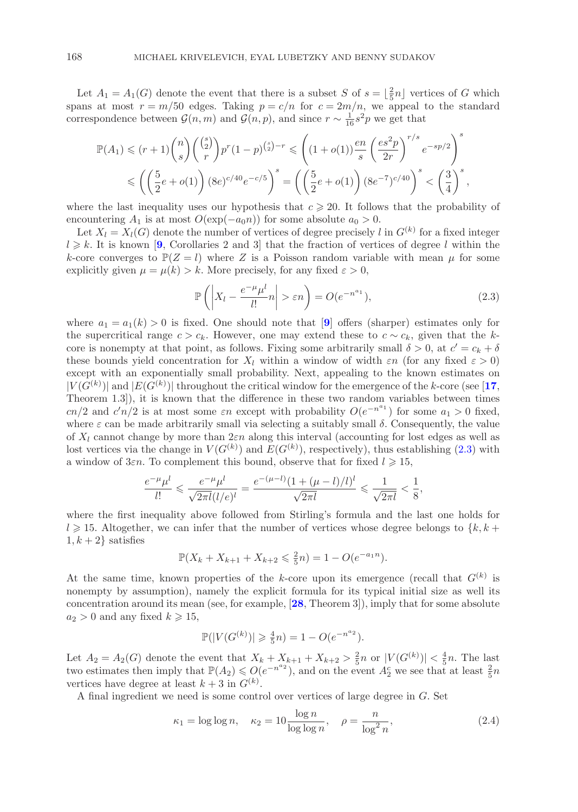Let  $A_1 = A_1(G)$  denote the event that there is a subset S of  $s = \left[\frac{2}{5}n\right]$  vertices of G which<br>ans at most  $r = m/50$  edges. Taking  $n = c/n$  for  $c = 2m/n$  we appeal to the standard spans at most  $r = m/50$  edges. Taking  $p = c/n$  for  $c = 2m/n$ , we appeal to the standard correspondence between  $\mathcal{G}(n,m)$  and  $\mathcal{G}(n,p)$ , and since  $r \sim \frac{1}{16} s^2 p$  we get that

$$
\mathbb{P}(A_1) \le (r+1) \binom{n}{s} \binom{\binom{s}{2}}{r} p^r (1-p)^{\binom{s}{2}-r} \le \left( (1+o(1)) \frac{en}{s} \left( \frac{es^2 p}{2r} \right)^{r/s} e^{-sp/2} \right)^s
$$
  

$$
\le \left( \left( \frac{5}{2}e + o(1) \right) (8e)^{c/40} e^{-c/5} \right)^s = \left( \left( \frac{5}{2}e + o(1) \right) (8e^{-7})^{c/40} \right)^s < \left( \frac{3}{4} \right)^s,
$$

where the last inequality uses our hypothesis that  $c \geq 20$ . It follows that the probability of encountering  $A_1$  is at most  $O(\exp(-a_0 n))$  for some absolute  $a_0 > 0$ encountering  $A_1$  is at most  $O(\exp(-a_0n))$  for some absolute  $a_0 > 0$ .

Let  $X_l = X_l(G)$  denote the number of vertices of degree precisely l in  $G^{(k)}$  for a fixed integer  $l \geq k$ . It is known [[9](#page-26-4), Corollaries 2 and 3] that the fraction of vertices of degree l within the  $k$ -core converges to  $\mathbb{P}(Z - l)$  where Z is a Poisson random variable with mean u for some k-core converges to  $\mathbb{P}(Z = l)$  where Z is a Poisson random variable with mean  $\mu$  for some explicitly given  $\mu = \mu(k) > k$ . More precisely, for any fixed  $\varepsilon > 0$ ,

<span id="page-7-0"></span>
$$
\mathbb{P}\left(\left|X_l - \frac{e^{-\mu}\mu^l}{l!}n\right| > \varepsilon n\right) = O(e^{-n^{a_1}}),\tag{2.3}
$$

where  $a_1 = a_1(k) > 0$  is fixed. One should note that [[9](#page-26-4)] offers (sharper) estimates only for the supercritical range  $c>c_k$ . However, one may extend these to  $c \sim c_k$ , given that the kcore is nonempty at that point, as follows. Fixing some arbitrarily small  $\delta > 0$ , at  $c' = c_k + \delta$ <br>these bounds yield concentration for X, within a window of width  $\varepsilon n$  (for any fixed  $\varepsilon > 0$ ) these bounds yield concentration for  $X_l$  within a window of width  $\varepsilon n$  (for any fixed  $\varepsilon > 0$ ) except with an exponentially small probability. Next, appealing to the known estimates on  $|V(G^{(k)})|$  and  $|E(G^{(k)})|$  throughout the critical window for the emergence of the k-core (see [[17](#page-27-10), Theorem 1.3]) it is known that the difference in these two random variables between times Theorem 1.3]), it is known that the difference in these two random variables between times cn/2 and c'n/2 is at most some  $\varepsilon n$  except with probability  $O(e^{-n^a})$  for some  $a_1 > 0$  fixed, where  $\varepsilon$  can be made arbitrarily small via selecting a suitably small  $\delta$ . Consequently, the value where  $\varepsilon$  can be made arbitrarily small via selecting a suitably small  $\delta$ . Consequently, the value of  $X_l$  cannot change by more than  $2\varepsilon n$  along this interval (accounting for lost edges as well as lost vertices via the change in  $V(G^{(k)})$  and  $E(G^{(k)})$ , respectively), thus establishing [\(2.3\)](#page-7-0) with<br>a window of 350. To complement this bound, observe that for fixed  $l > 15$ . a window of  $3\varepsilon n$ . To complement this bound, observe that for fixed  $l \geq 15$ ,

$$
\frac{e^{-\mu}\mu^{l}}{l!} \leq \frac{e^{-\mu}\mu^{l}}{\sqrt{2\pi l}(l/e)^{l}} = \frac{e^{-(\mu-l)}(1+(\mu-l)/l)^{l}}{\sqrt{2\pi l}} \leq \frac{1}{\sqrt{2\pi l}} < \frac{1}{8},
$$

where the first inequality above followed from Stirling's formula and the last one holds for  $l \geq 15$ . Altogether, we can infer that the number of vertices whose degree belongs to  $\{k, k + 1, k + 2\}$  satisfies  $1, k + 2$  satisfies

$$
\mathbb{P}(X_k + X_{k+1} + X_{k+2} \leq \frac{2}{5}n) = 1 - O(e^{-a_1 n}).
$$

At the same time, known properties of the k-core upon its emergence (recall that  $G^{(k)}$  is nonempty by assumption), namely the explicit formula for its typical initial size as well its concentration around its mean (see, for example, [**[28](#page-27-12)**, Theorem 3]), imply that for some absolute  $a_2 > 0$  and any fixed  $k \geqslant 15$ ,

$$
\mathbb{P}(|V(G^{(k)})| \geq \frac{4}{5}n) = 1 - O(e^{-n^{a_2}}).
$$

Let  $A_2 = A_2(G)$  denote the event that  $X_k + X_{k+1} + X_{k+2} > \frac{2}{5}n$  or  $|V(G^{(k)})| < \frac{4}{5}n$ . The last  $\frac{1}{5}n$  we see that at least  $\frac{2}{5}n$ two estimates then imply that  $\mathbb{P}(A_2) \leq O(e^{-n^a 2})$ , and on the event  $A_2^c$  we see that at least  $\frac{2}{5}n$ vertices have degree at least  $k+3$  in  $G^{(k)}$ .<br>A final ingredient we need is some contra

A final ingredient we need is some control over vertices of large degree in G. Set

<span id="page-7-1"></span>
$$
\kappa_1 = \log \log n, \quad \kappa_2 = 10 \frac{\log n}{\log \log n}, \quad \rho = \frac{n}{\log^2 n}, \tag{2.4}
$$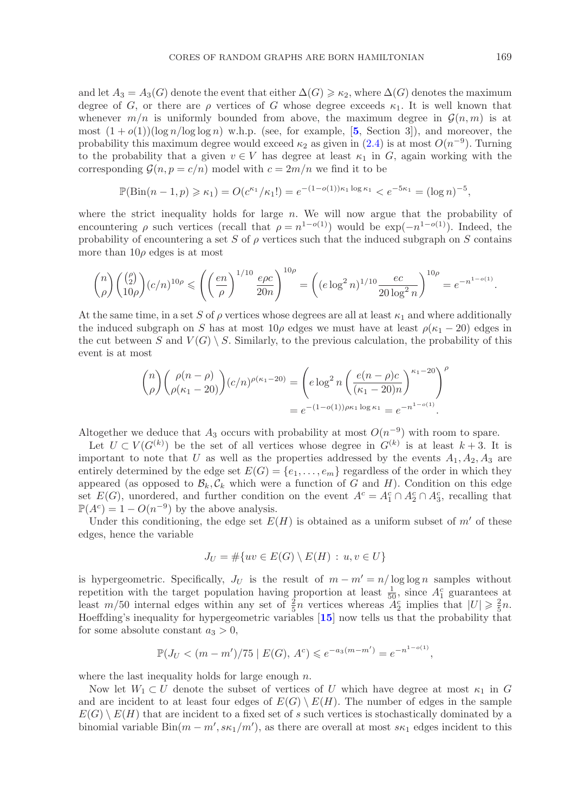and let  $A_3 = A_3(G)$  denote the event that either  $\Delta(G) \geq \kappa_2$ , where  $\Delta(G)$  denotes the maximum<br>degree of G, or there are a vertices of G, whose degree exceeds  $\kappa_1$ . It is well known that degree of G, or there are  $\rho$  vertices of G whose degree exceeds  $\kappa_1$ . It is well known that whenever  $m/n$  is uniformly bounded from above, the maximum degree in  $\mathcal{G}(n,m)$  is at most  $(1 + o(1))(\log n/\log \log n)$  w.h.p. (see, for example, [[5](#page-26-6), Section 3]), and moreover, the probability this maximum degree would exceed  $\kappa_2$  as given in [\(2.4\)](#page-7-1) is at most  $O(n^{-9})$ . Turning to the probability that a given  $v \in V$  has degree at least  $\kappa_1$  in G, again working with the corresponding  $\mathcal{G}(n, p = c/n)$  model with  $c = 2m/n$  we find it to be

$$
\mathbb{P}(\text{Bin}(n-1,p) \geq \kappa_1) = O(c^{\kappa_1}/\kappa_1!) = e^{-(1-o(1))\kappa_1 \log \kappa_1} < e^{-5\kappa_1} = (\log n)^{-5},
$$

where the strict inequality holds for large  $n$ . We will now argue that the probability of encountering ρ such vertices (recall that  $\rho = n^{1-o(1)}$ ) would be  $\exp(-n^{1-o(1)})$ . Indeed, the probability of encountering a set S of  $\rho$  vertices such that the induced subgraph on S contains more than  $10\rho$  edges is at most

$$
\binom{n}{\rho}\binom{\binom{\rho}{2}}{10\rho}(c/n)^{10\rho} \leqslant \left(\left(\frac{en}{\rho}\right)^{1/10}\frac{e\rho c}{20n}\right)^{10\rho} = \left((e\log^2 n)^{1/10}\frac{ec}{20\log^2 n}\right)^{10\rho} = e^{-n^{1-o(1)}}.
$$

At the same time, in a set S of  $\rho$  vertices whose degrees are all at least  $\kappa_1$  and where additionally the induced subgraph on S has at most  $10\rho$  edges we must have at least  $\rho(\kappa_1 - 20)$  edges in the cut between S and  $V(G) \setminus S$ . Similarly, to the previous calculation, the probability of this event is at most

$$
\binom{n}{\rho} \binom{\rho(n-\rho)}{\rho(\kappa_1-20)} (c/n)^{\rho(\kappa_1-20)} = \left( e \log^2 n \left( \frac{e(n-\rho)c}{(\kappa_1-20)n} \right)^{\kappa_1-20} \right)^{\rho}
$$

$$
= e^{-(1-o(1))\rho\kappa_1 \log \kappa_1} = e^{-n^{1-o(1)}}.
$$

Altogether we deduce that  $A_3$  occurs with probability at most  $O(n^{-9})$  with room to spare.

Let  $U \subset V(G^{(k)})$  be the set of all vertices whose degree in  $G^{(k)}$  is at least  $k+3$ . It is important to note that U as well as the properties addressed by the events  $A_1, A_2, A_3$  are entirely determined by the edge set  $E(G) = \{e_1, \ldots, e_m\}$  regardless of the order in which they appeared (as opposed to  $\mathcal{B}_k, \mathcal{C}_k$  which were a function of G and H). Condition on this edge set  $E(G)$ , unordered, and further condition on the event  $A^c = A_1^c \cap A_2^c \cap A_3^c$ , recalling that  $\mathbb{P}(A^c) = 1 - O(n^{-9})$  by the above analysis  $\mathbb{P}(A^c)=1-O(n^{-9})$  by the above analysis.

Under this conditioning, the edge set  $E(H)$  is obtained as a uniform subset of m' of these<br>ges hence the variable edges, hence the variable

$$
J_U = \#\{uv \in E(G) \setminus E(H) : u, v \in U\}
$$

is hypergeometric. Specifically,  $J_U$  is the result of  $m - m' = n/\log \log n$  samples without repetition with the target population having proportion at least  $\frac{1}{n}$  since  $A^c$  guarantees at repetition with the target population having proportion at least  $\frac{1}{50}$ , since  $A_1^c$  guarantees at least  $m/50$  internal edges within any set of  $\frac{2}{3}n$  vertices whereas  $A_2^c$  implies that  $|U| > \frac{2}{3}n$ least  $m/50$  internal edges within any set of  $\frac{2}{5}n$  vertices whereas  $A_2^c$  implies that  $|U| \geq \frac{2}{5}n$ .<br>Hoeffding's inequality for hypergeometric variables [15] now tells us that the probability that Hoeffding's inequality for hypergeometric variables [**[15](#page-27-16)**] now tells us that the probability that for some absolute constant  $a_3 > 0$ ,

$$
\mathbb{P}(J_U < (m-m')/75 \mid E(G), A^c) \leq e^{-a_3(m-m')} = e^{-n^{1-o(1)}},
$$

where the last inequality holds for large enough  $n$ .

Now let  $W_1 \subset U$  denote the subset of vertices of U which have degree at most  $\kappa_1$  in G and are incident to at least four edges of  $E(G) \setminus E(H)$ . The number of edges in the sample  $E(G) \setminus E(H)$  that are incident to a fixed set of s such vertices is stochastically dominated by a binomial variable  $Bin(m - m', s\kappa_1/m')$ , as there are overall at most  $s\kappa_1$  edges incident to this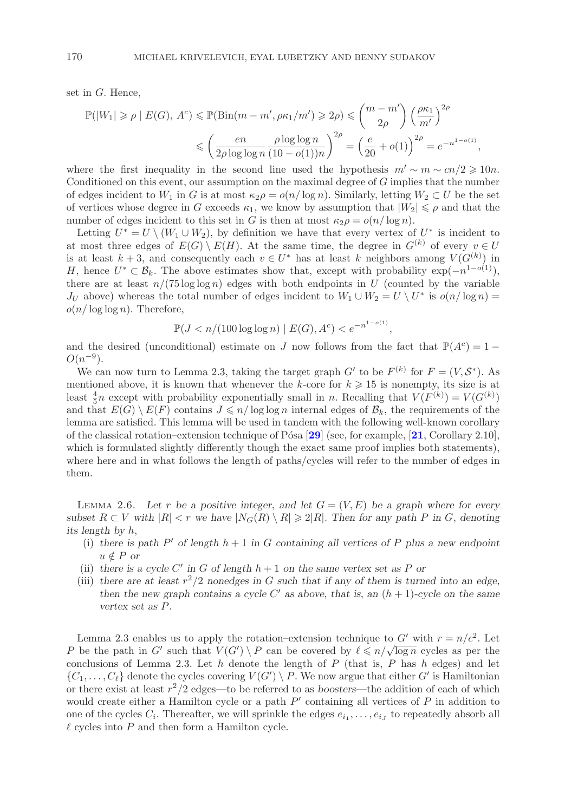set in G. Hence,

$$
\mathbb{P}(|W_1| \ge \rho \mid E(G), A^c) \le \mathbb{P}(\text{Bin}(m - m', \rho \kappa_1/m') \ge 2\rho) \le \binom{m - m'}{2\rho} \left(\frac{\rho \kappa_1}{m'}\right)^{2\rho}
$$

$$
\le \left(\frac{en}{2\rho \log \log n} \frac{\rho \log \log n}{(10 - o(1))n}\right)^{2\rho} = \left(\frac{e}{20} + o(1)\right)^{2\rho} = e^{-n^{1-o(1)}},
$$

where the first inequality in the second line used the hypothesis  $m' \sim m \sim cn/2 \geq 10n$ .<br>Conditioned on this event our assumption on the maximal degree of *C* implies that the number Conditioned on this event, our assumption on the maximal degree of  $G$  implies that the number of edges incident to  $W_1$  in G is at most  $\kappa_2 \rho = o(n/\log n)$ . Similarly, letting  $W_2 \subset U$  be the set of vertices whose degree in G exceeds  $\kappa_1$ , we know by assumption that  $|W_2| \leq \rho$  and that the number of edges incident to this set in G is then at most  $\kappa_2 \rho = o(n/\log n)$ .

Letting  $U^* = U \setminus (W_1 \cup W_2)$ , by definition we have that every vertex of  $U^*$  is incident to at most three edges of  $E(G) \setminus E(H)$ . At the same time, the degree in  $G^{(k)}$  of every  $v \in U$ is at least  $k + 3$ , and consequently each  $v \in U^*$  has at least k neighbors among  $V(G^{(k)})$  in<br>  $H$  hence  $U^* \subset \mathcal{B}$ . The above estimates show that except with probability  $\exp(-n^{1-o(1)})$ H, hence  $U^* \subset \mathcal{B}_k$ . The above estimates show that, except with probability  $\exp(-n^{1-o(1)})$ , there are at least  $n/(75 \log \log n)$  edges with both endpoints in U (counted by the variable  $J_U$  above) whereas the total number of edges incident to  $W_1 \cup W_2 = U \setminus U^*$  is  $o(n/\log n) =$  $o(n/\log\log n)$ . Therefore,

$$
\mathbb{P}(J < n/(100\log\log n) \mid E(G), A^c) < e^{-n^{1-o(1)}},
$$

and the desired (unconditional) estimate on J now follows from the fact that  $\mathbb{P}(A^c)=1-\Omega(n^{-9})$  $O(n^{-9})$ .<br>We can now turn to Lemma 2.3, taking the target graph G' to be  $F^{(k)}$  for  $F = (V, S^*)$ . As

We can now turn to Lemma 2.3, taking the target graph G' to be  $F^{(k)}$  for  $F = (V, S^*)$ . As mentioned above, it is known that whenever the k-core for  $k \geq 15$  is nonempty, its size is at least  $\frac{4}{3}n$  except with probability exponentially small in n. Becalling that  $V(F^{(k)}) - V(G^{(k)})$ least  $\frac{4}{5}n$  except with probability exponentially small in n. Recalling that  $V(F^{(k)}) = V(G^{(k)})$ <br>and that  $E(G) \setminus E(F)$  contains  $I \leq n/\log \log n$  internal edges of  $\mathcal{B}_k$ , the requirements of the and that  $E(G) \setminus E(F)$  contains  $J \leq n/\log \log n$  internal edges of  $\mathcal{B}_k$ , the requirements of the lemma are satisfied. This lemma will be used in tandem with the following well-known corollary of the classical rotation–extension technique of P´osa [**[29](#page-27-1)**] (see, for example, [**[21](#page-27-17)**, Corollary 2.10], which is formulated slightly differently though the exact same proof implies both statements), where here and in what follows the length of paths/cycles will refer to the number of edges in them.

LEMMA 2.6. Let r be a positive integer, and let  $G = (V, E)$  be a graph where for every *subset*  $R \subset V$  *with*  $|R| < r$  *we have*  $|N_G(R) \setminus R| \geq 2|R|$ *. Then for any path* P *in* G, denoting *its length* by h *its length by* h,

- (i) there is path  $P'$  of length  $h + 1$  in G containing all vertices of P plus a new endpoint  $u \notin P$  or
- (ii) there is a cycle C' in G of length  $h + 1$  on the same vertex set as P or<br>(iii) there are at least  $r^2/2$  ponedges in G such that if any of them is turn
- (iii) there are at least  $r^2/2$  nonedges in G such that if any of them is turned into an edge, *then the new graph contains a cycle* C' as above, *that is*, an  $(h + 1)$ *-cycle* on *the same* vertex set as P *vertex set as* P*.*

Lemma 2.3 enables us to apply the rotation–extension technique to G' with  $r = n/c^2$ . Let<br>be the path in G' such that  $V(G') \setminus P$  can be covered by  $\ell \leq n/\sqrt{\log n}$  cycles as per the P be the path in  $G'$  such that  $V(G')$ <br>conclusions of Lemma 2.3. Let h de be following extension technique to G with  $r = n/c$ . Let<br>  $\log P$  can be covered by  $\ell \leq n/\sqrt{\log n}$  cycles as per the<br>
note the length of P (that is P has h edges) and let conclusions of Lemma 2.3. Let h denote the length of  $P$  (that is,  $P$  has h edges) and let  $\{C_1, \ldots, C_\ell\}$  denote the cycles covering  $V(G') \setminus P$ . We now argue that either G' is Hamiltonian<br>or there exist at least  $r^2/2$  edges—to be referred to as boosters—the addition of each of which or there exist at least  $r^2/2$  edges—to be referred to as *boosters*—the addition of each of which would create either a Hamilton cycle or a path  $P'$  containing all vertices of P in addition to<br>one of the cycles C. Thereafter, we will sprinkle the edges  $e_i$ ,  $e_i$  to repeatedly absorb all one of the cycles  $C_i$ . Thereafter, we will sprinkle the edges  $e_{i_1}, \ldots, e_{i_J}$  to repeatedly absorb all  $\ell$  cycles into  $P$  and then form a Hamilton cycle.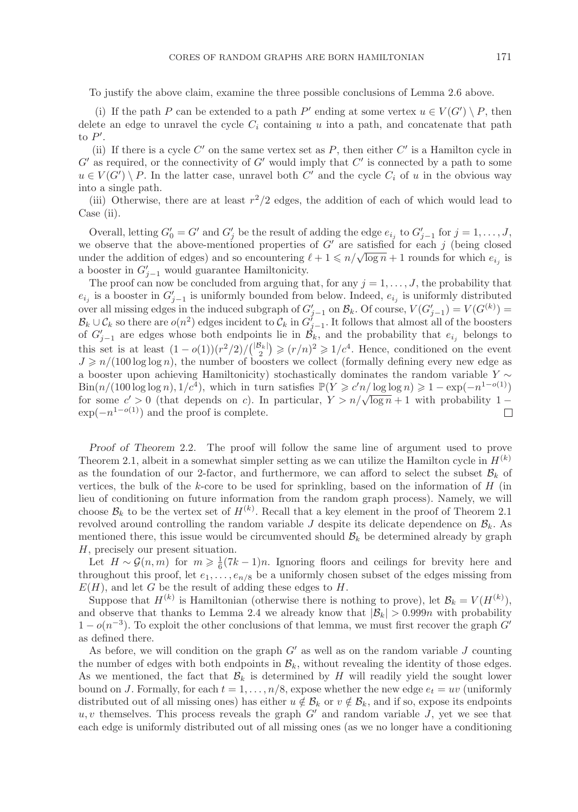To justify the above claim, examine the three possible conclusions of Lemma 2.6 above.

(i) If the path P can be extended to a path P' ending at some vertex  $u \in V(G') \setminus P$ , then<br>the an edge to unravel the cycle C; containing u into a path, and concatenate that path delete an edge to unravel the cycle  $C_i$  containing u into a path, and concatenate that path to  $P'$ .<br>(ii)

(ii) If there is a cycle C' on the same vertex set as P, then either C' is a Hamilton cycle in<br>as required or the connectivity of G' would imply that C' is connected by a path to some  $G'$  as required, or the connectivity of G' would imply that C' is connected by a path to some  $u \in V(G') \setminus P$ . In the latter case, unravel both C' and the cycle C, of u in the obvious way  $u \in V(G') \setminus P$ . In the latter case, unravel both C' and the cycle  $C_i$  of u in the obvious way<br>into a single path into a single path.

(iii) Otherwise, there are at least  $r^2/2$  edges, the addition of each of which would lead to Case (ii).

Overall, letting  $G'_0 = G'$  and  $G'_j$  be the result of adding the edge  $e_{i_j}$  to  $G'_{j-1}$  for  $j = 1, \ldots, J$ ,<br>conserve that the above-mentioned properties of  $G'$  are satisfied for each *i* (being closed we observe that the above-mentioned properties of G' are satisfied for each j (being closed<br>under the addition of edges) and so encountering  $\ell + 1 \le n/\sqrt{\log n} + 1$  rounds for which  $e_{\ell}$  is under the addition of edges) and so encountering  $\ell + 1 \leq n/\sqrt{\log n} + 1$  rounds for which  $e_{i_j}$  is a booster in  $G'_{j-1}$  would guarantee Hamiltonicity.<br>The proof can now be concluded from arguing the

The proof can now be concluded from arguing that, for any  $j = 1, \ldots, J$ , the probability that  $e_{i_j}$  is a booster in  $G'_{j-1}$  is uniformly bounded from below. Indeed,  $e_{i_j}$  is uniformly distributed<br>over all missing edges in the induced subgraph of  $G'$  on  $\mathcal{B}$ . Of course  $V(G' \rightarrow V(G^{(k)})$ over all missing edges in the induced subgraph of  $G'_{j-1}$  on  $\mathcal{B}_k$ . Of course,  $V(G'_{j-1}) = V(G^{(k)}) =$ <br> $\mathcal{B}_{k+1}(\mathcal{C}_{k})$  so there are  $o(n^2)$  edges incident to  $\mathcal{C}_{k}$  in  $G'_{k}$ . It follows that almost all of the  $\mathcal{B}_k \cup \mathcal{C}_k$  so there are  $o(n^2)$  edges incident to  $\mathcal{C}_k$  in  $G'_{j-1}$ . It follows that almost all of the boosters of  $G'_{j-1}$  are edges whose both endpoints lie in  $\mathcal{B}_j$  and the probability that ethelogys of  $G'_{j-1}$  are edges whose both endpoints lie in  $\mathcal{B}_k$ , and the probability that  $e_{i_j}$  belongs to<br>this set is at least  $(1 - e^{(1)}) (n^2/2) / (|\mathcal{B}_k|) \ge (n/n)^2 > 1/4$  Hence conditioned on the synth this set is at least  $(1 - o(1)) (r^2/2) / {\binom{|B_k|}{2}}$ <br> $I \ge n / (100 \log \log n)$  the number of boo  $\overline{ }$  $(\epsilon/r)^2 \geq 1/c^4$ . Hence, conditioned on the event<br>sters we collect (formally defining every new edge as  $J \geq n/(100 \log \log n)$ , the number of boosters we collect (formally defining every new edge as<br>a booster upon achieving Hamiltonicity) stochastically dominates the random variable  $Y \sim$ a booster upon achieving Hamiltonicity) stochastically dominates the random variable  $Y \sim$  $Bin(n/(100 \log \log n), 1/c^4)$ , which in turn satisfies  $\mathbb{P}(Y \geq c'n/\log \log n) \geq 1 - \exp(-n^{1-o(1)})$ <br>for some  $c' > 0$  (that depends on c). In particular  $Y > n/\sqrt{\log n} + 1$  with probability  $1$ for some  $c'$ <br>exp( $-n^{1-o(}$  $\log \log n$ ,  $1/\epsilon$ , which in turn satisfies  $\mathbb{1}(I \geq c n/\log \log n) \geq 1 - \exp(-n \leq t)$ <br>  $> 0$  (that depends on c). In particular,  $Y > n/\sqrt{\log n} + 1$  with probability  $1 \exp(-n^{1-o(1)})$  and the proof is complete.

*Proof of Theorem* 2.2*.* The proof will follow the same line of argument used to prove Theorem 2.1, albeit in a somewhat simpler setting as we can utilize the Hamilton cycle in  $H^{(k)}$ as the foundation of our 2-factor, and furthermore, we can afford to select the subset  $\mathcal{B}_k$  of vertices, the bulk of the k-core to be used for sprinkling, based on the information of  $H$  (in lieu of conditioning on future information from the random graph process). Namely, we will choose  $\mathcal{B}_k$  to be the vertex set of  $H^{(k)}$ . Recall that a key element in the proof of Theorem 2.1<br>revolved around controlling the random variable *I* despite its delicate dependence on  $\mathcal{B}_t$ . As revolved around controlling the random variable J despite its delicate dependence on  $\mathcal{B}_k$ . As mentioned there, this issue would be circumvented should  $B_k$  be determined already by graph H, precisely our present situation.

Let  $H \sim \mathcal{G}(n,m)$  for  $m \geq \frac{1}{6}(7k-1)n$ . Ignoring floors and ceilings for brevity here and roughout this proof let  $e_1$ ,  $e_2$  be a uniformly chosen subset of the edges missing from throughout this proof, let  $e_1, \ldots, e_{n/8}$  be a uniformly chosen subset of the edges missing from  $E(H)$ , and let G be the result of adding these edges to H.

Suppose that  $H^{(k)}$  is Hamiltonian (otherwise there is nothing to prove), let  $\mathcal{B}_k = V(H^{(k)}),$ and observe that thanks to Lemma 2.4 we already know that  $|\mathcal{B}_k| > 0.999n$  with probability  $1 - o(n^{-3})$ . To exploit the other conclusions of that lemma, we must first recover the graph G<sup>-1</sup> as defined there.

As before, we will condition on the graph  $G'$  as well as on the random variable J counting<br>a number of edges with both endpoints in  $\mathcal{B}$ , without revealing the identity of those edges the number of edges with both endpoints in  $\mathcal{B}_k$ , without revealing the identity of those edges. As we mentioned, the fact that  $\mathcal{B}_k$  is determined by H will readily yield the sought lower bound on J. Formally, for each  $t = 1, \ldots, n/8$ , expose whether the new edge  $e_t = uv$  (uniformly distributed out of all missing ones) has either  $u \notin \mathcal{B}_k$  or  $v \notin \mathcal{B}_k$ , and if so, expose its endpoints  $u, v$  themselves. This process reveals the graph  $G'$  and random variable J, yet we see that each edge is uniformly distributed out of all missing ones (as we no longer have a conditioning each edge is uniformly distributed out of all missing ones (as we no longer have a conditioning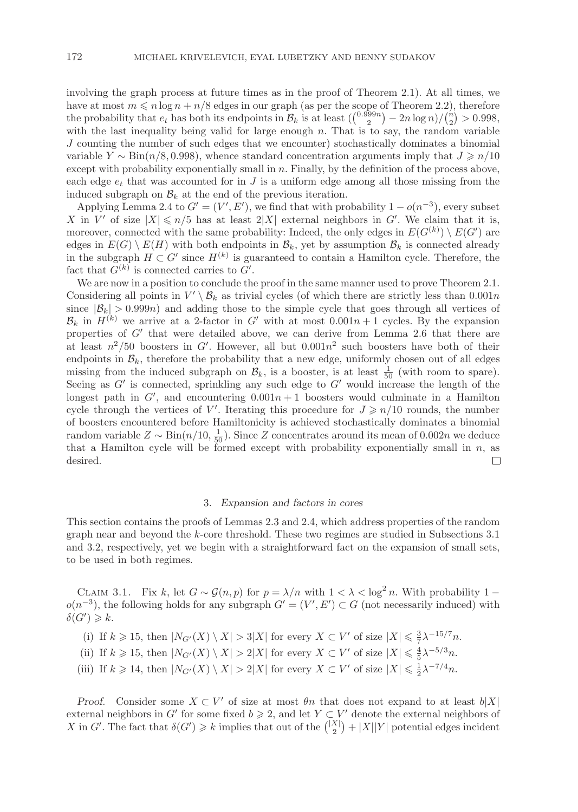involving the graph process at future times as in the proof of Theorem 2.1). At all times, we have at most  $m \le n \log n + n/8$  edges in our graph (as per the scope of Theorem 2.2), therefore<br>the probability that e, has both its endpoints in  $\mathcal{B}_t$  is at least  $((0.999n) - 2n \log n)/(n) > 0.998$ the probability that  $e_t$  has both its endpoints in  $\mathcal{B}_k$  is at least  $\left(\binom{0.999n}{2} - 2n \log n / \binom{n}{2} > 0.998$ , with the last inequality being valid for large enough n. That is to say the random variable with the last inequality being valid for large enough  $n$ . That is to say, the random variable  $I$  counting the number of such edges that we encounter) stochastically dominates a binomial J counting the number of such edges that we encounter) stochastically dominates a binomial variable  $Y \sim \text{Bin}(n/8, 0.998)$ , whence standard concentration arguments imply that  $J \geq n/10$ <br>except with probability exponentially small in n. Finally, by the definition of the process above except with probability exponentially small in  $n$ . Finally, by the definition of the process above, each edge  $e_t$  that was accounted for in J is a uniform edge among all those missing from the induced subgraph on  $\mathcal{B}_k$  at the end of the previous iteration.

Applying Lemma 2.4 to  $G' = (V', E')$ , we find that with probability  $1 - o(n^{-3})$ , every subset<br>in  $V'$  of size  $|X| \le n/5$  has at least  $2|X|$  external neighbors in  $G'$ . We claim that it is X in V' of size  $|X| \le n/5$  has at least  $2|X|$  external neighbors in G'. We claim that it is,<br>moreover connected with the same probability: Indeed, the only edges in  $E(G^{(k)}) \setminus E(G')$  are moreover, connected with the same probability: Indeed, the only edges in  $E(G^{(k)}) \setminus E(G')$  are<br>edges in  $E(G) \setminus E(H)$  with both endpoints in  $\mathcal{B}_U$  vet by assumption  $\mathcal{B}_U$  is connected already edges in  $E(G) \setminus E(H)$  with both endpoints in  $\mathcal{B}_k$ , yet by assumption  $\mathcal{B}_k$  is connected already in the subgraph  $H \subset G'$  since  $H^{(k)}$  is guaranteed to contain a Hamilton cycle. Therefore, the fact that  $G^{(k)}$  is connected carries to  $G'$ fact that  $G^{(k)}$  is connected carries to  $G'$ .<br>We are now in a position to conclude the

We are now in a position to conclude the proof in the same manner used to prove Theorem 2.1. Considering all points in  $V' \ B_k$  as trivial cycles (of which there are strictly less than 0.001n<br>since  $|B_k| > 0.999n$ ) and adding those to the simple cycle that goes through all vertices of since  $|\mathcal{B}_k| > 0.999n$  and adding those to the simple cycle that goes through all vertices of  $\mathcal{B}_k$  in  $H^{(k)}$  we arrive at a 2-factor in G' with at most  $0.001n + 1$  cycles. By the expansion properties of  $G'$  that were detailed above, we can derive from Lemma 2.6 that there are properties of G<sup>'</sup> that were detailed above, we can derive from Lemma 2.6 that there are<br>at least  $n^2/50$  boosters in G' However, all but  $0.001n^2$  such boosters have both of their at least  $n^2/50$  boosters in G'. However, all but  $0.001n^2$  such boosters have both of their<br>endpoints in  $\mathcal{B}_t$ , therefore the probability that a new edge, uniformly chosen out of all edges endpoints in  $\mathcal{B}_k$ , therefore the probability that a new edge, uniformly chosen out of all edges missing from the induced subgraph on  $\mathcal{B}_k$ , is a booster, is at least  $\frac{1}{50}$  (with room to spare).<br>Seeing as G' is connected, sprinkling any such edge to G' would increase the length of the Seeing as G' is connected, sprinkling any such edge to G' would increase the length of the<br>longest path in G' and encountering  $0.001n + 1$  boosters would culminate in a Hamilton longest path in G', and encountering  $0.001n + 1$  boosters would culminate in a Hamilton<br>cycle through the vertices of V' Iterating this procedure for  $I \ge n/10$  rounds the number cycle through the vertices of V'. Iterating this procedure for  $J \ge n/10$  rounds, the number<br>of boosters encountered before Hamiltonicity is achieved stochastically dominates a binomial of boosters encountered before Hamiltonicity is achieved stochastically dominates a binomial random variable  $Z \sim \text{Bin}(n/10, \frac{1}{50})$ . Since Z concentrates around its mean of 0.002n we deduce that a Hamilton cycle will be formed except with probability exponentially small in  $n$ , as desired. desired.

#### 3. *Expansion and factors in cores*

This section contains the proofs of Lemmas 2.3 and 2.4, which address properties of the random graph near and beyond the k-core threshold. These two regimes are studied in Subsections 3.1 and 3.2, respectively, yet we begin with a straightforward fact on the expansion of small sets, to be used in both regimes.

CLAIM 3.1. Fix k, let  $G \sim \mathcal{G}(n, p)$  for  $p = \lambda/n$  with  $1 < \lambda < \log^2 n$ . With probability  $1 - n^{-3}$  the following holds for any subgraph  $G' - (V' - F') \subset G$  (not necessarily induced) with  $o(n^{-3})$ , the following holds for any subgraph  $G' = (V', E') \subset G$  (not necessarily induced) with  $\delta(G') > k$  $\delta(G') \geqslant k.$ 

(i) If  $k \geq 15$ , then  $|N_{G'}(X) \setminus X| > 3|X|$  for every  $X \subset V'$  of size  $|X| \leq \frac{3}{7}\lambda^{-15/7}n$ .

- (ii) If  $k \geqslant 15$ , then  $|N_{G'}(X) \setminus X| > 2|X|$  for every  $X \subset V'$  of size  $|X| \leq \frac{4}{5}\lambda^{-5/3}n$ .
- (iii) If  $k \geq 14$ , then  $|N_{G'}(X) \setminus X| > 2|X|$  for every  $X \subset V'$  of size  $|X| \leq \frac{1}{2}\lambda^{-7/4}n$ .

*Proof.* Consider some  $X \subset V'$  of size at most  $\theta n$  that does not expand to at least  $b|X|$ <br>terms perchanging  $G'$  for some fixed  $b \geq 2$  and let  $Y \subset V'$  denote the external perchanging external neighbors in G' for some fixed  $b \ge 2$ , and let  $Y \subset V'$  denote the external neighbors of  $X$  in  $G'$ . The fact that  $\delta(G') \ge k$  implies that out of the  $\binom{|X|}{k} + |Y||Y|$  potential edges incident X in G'. The fact that  $\delta(G') \geq k$  implies that out of the  $\binom{|X|}{2} + |X||Y|$  potential edges incident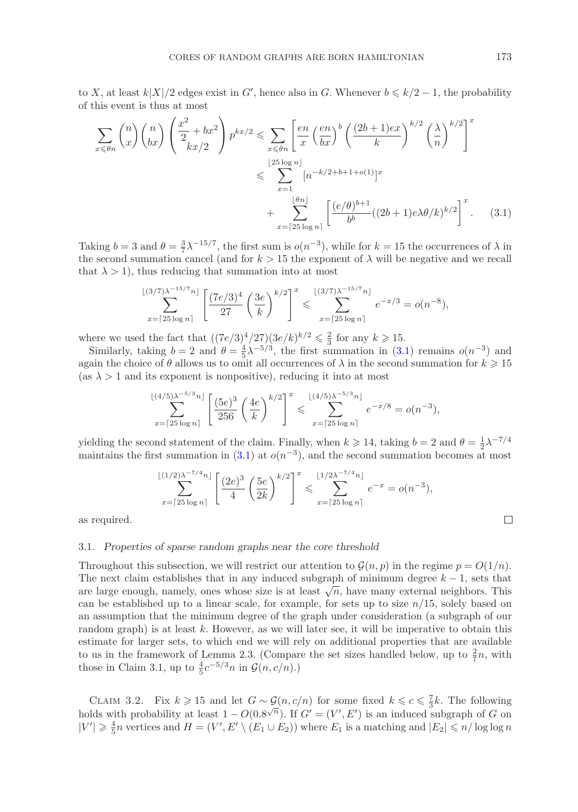to X, at least  $k|X|/2$  edges exist in G', hence also in G. Whenever  $b \le k/2 - 1$ , the probability of this event is thus at most of this event is thus at most

$$
\sum_{x \leq \theta n} \binom{n}{x} \binom{n}{bx} \left(\frac{x^2}{2} + bx^2\right) p^{kx/2} \leq \sum_{x \leq \theta n} \left[\frac{en}{x} \left(\frac{en}{bx}\right)^b \left(\frac{(2b+1)ex}{k}\right)^{k/2} \left(\frac{\lambda}{n}\right)^{k/2}\right]^x
$$
\n
$$
\leq \sum_{x=1}^{\lfloor 25 \log n \rfloor} \left[n^{-k/2+b+1+o(1)}\right] x
$$
\n
$$
+ \sum_{x=\lceil 25 \log n \rceil} \left[\frac{(e/\theta)^{b+1}}{b^b} \left((2b+1)e\lambda\theta/k\right)^{k/2}\right]^x. \tag{3.1}
$$

Taking  $b = 3$  and  $\theta = \frac{3}{7}\lambda^{-15/7}$ , the first sum is  $o(n^{-3})$ , while for  $k = 15$  the occurrences of  $\lambda$  in the second summation cancel (and for  $k > 15$  the exponent of  $\lambda$  will be negative and we recall the second summation cancel (and for  $k > 15$  the exponent of  $\lambda$  will be negative and we recall that  $\lambda > 1$ , thus reducing that summation into at most

$$
\sum_{x=\lceil 25 \log n \rceil}^{\lfloor (3/7)\lambda^{-15/7}n \rfloor} \left[ \frac{(7e/3)^4}{27} \left( \frac{3e}{k} \right)^{k/2} \right]^x \leqslant \sum_{x=\lceil 25 \log n \rceil}^{\lfloor (3/7)\lambda^{-15/7}n \rfloor} e^{-x/3} = o(n^{-8}),
$$

where we used the fact that  $((7e/3)^4/27)(3e/k)^{k/2} \leq \frac{2}{3}$  for any  $k \geq 15$ .<br>Similarly taking  $h-2$  and  $h-\frac{4}{3}\lambda^{-5/3}$  the first summation in (3)

Similarly, taking  $b = 2$  and  $\theta = \frac{4}{5}\lambda^{-5/3}$ , the first summation in [\(3.1\)](#page-12-0) remains  $o(n^{-3})$  and  $a$  in the choice of  $\theta$  allows us to omit all occurrences of  $\lambda$  in the second summation for  $k \ge 15$ again the choice of  $\theta$  allows us to omit all occurrences of  $\lambda$  in the second summation for  $k \geq 15$ <br>(as  $\lambda > 1$  and its exponent is poppositive), reducing it into at most (as  $\lambda > 1$  and its exponent is nonpositive), reducing it into at most

$$
\sum_{x=\lceil 25 \log n \rceil}^{\lfloor (4/5)\lambda^{-5/3}n \rfloor} \left[ \frac{(5e)^3}{256} \left( \frac{4e}{k} \right)^{k/2} \right]^x \leqslant \sum_{x=\lceil 25 \log n \rceil}^{\lfloor (4/5)\lambda^{-5/3}n \rfloor} e^{-x/8} = o(n^{-3}),
$$

yielding the second statement of the claim. Finally, when  $k \ge 14$ , taking  $b = 2$  and  $\theta = \frac{1}{2}\lambda^{-7/4}$ <br>maintains the first summation in (3.1) at  $o(n^{-3})$  and the second summation becomes at most maintains the first summation in  $(3.1)$  at  $o(n^{-3})$ , and the second summation becomes at most

$$
\sum_{x=\lceil 25 \log n \rceil}^{\lfloor (1/2)\lambda^{-7/4}n \rfloor} \left[ \frac{(2e)^3}{4} \left( \frac{5e}{2k} \right)^{k/2} \right]^x \leqslant \sum_{x=\lceil 25 \log n \rceil}^{\lfloor 1/2\lambda^{-7/4}n \rfloor} e^{-x} = o(n^{-3}),
$$

as required.

## 3.1. *Properties of sparse random graphs near the core threshold*

Throughout this subsection, we will restrict our attention to  $\mathcal{G}(n, p)$  in the regime  $p = O(1/n)$ . The next claim establishes that in any induced subgraph of minimum degree  $k - 1$ , sets that are large enough, namely, ones whose size is at least  $\sqrt{n}$ , have many external neighbors. This can be established up to a linear scale, for example, for sets up to size  $n/15$ , solely based on an assumption that the minimum degree of the graph under consideration (a subgraph of our random graph) is at least  $k$ . However, as we will later see, it will be imperative to obtain this estimate for larger sets, to which end we will rely on additional properties that are available to us in the framework of Lemma 2.3. (Compare the set sizes handled below, up to  $\frac{2}{7}n$ , with those in Claim 3.1, up to  $\frac{4}{7}e^{-5/3}n$  in  $G(n, c/n)$ ) those in Claim 3.1, up to  $\frac{4}{5}c^{-5/3}n$  in  $\mathcal{G}(n, c/n)$ .)

CLAIM 3.2. Fix  $k \ge 15$  and let  $G \sim \mathcal{G}(n, c/n)$  for some fixed  $k \le c \le \frac{7}{3}k$ . The following let  $s$  with probability at least  $1 - O(0.8\sqrt{n})$ . If  $C' - (V' - E')$  is an induced subgraph of  $G$  on holds with probability at least  $1 - O(0.8^{\sqrt{n}})$ . If  $G' = (V', E')$  is an induced subgraph of G on  $|V'| > \frac{4}{3}n$  vertices and  $H - (V', E') (E_1 + E_2)$ ) where  $E_2$  is a matching and  $|E_2| \le n/\log \log n$  $|V'| \geq \frac{4}{5}n$  vertices and  $H = (V', E' \setminus (E_1 \cup E_2))$  where  $E_1$  is a matching and  $|E_2| \leq n/\log \log n$ 

<span id="page-12-0"></span> $\Box$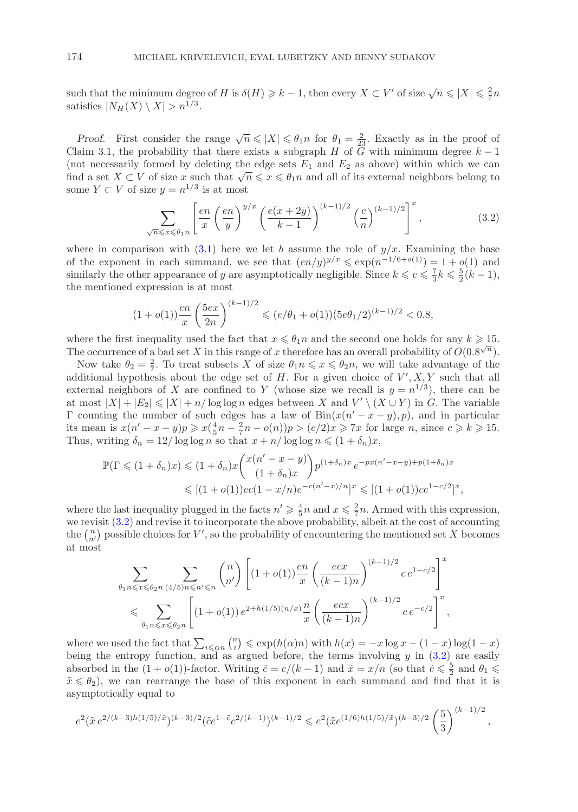such that the minimum degree of H is  $\delta(H) \geq k - 1$ , then every  $X \subset V'$  of size  $\sqrt{n} \leq |X| \leq \frac{2}{7}n$ satisfies  $|N_H(X) \setminus X| > n^{1/3}$ .

*Proof.* First consider the range  $\sqrt{n} \le |X| \le \theta_1 n$  for  $\theta_1 = \frac{2}{23}$ . Exactly as in the proof of aim 3.1 the probability that there exists a subgraph *H* of *G* with minimum degree  $k-1$ Claim 3.1, the probability that there exists a subgraph H of  $\overline{G}$  with minimum degree  $k-1$ (not necessarily formed by deleting the edge sets  $E_1$  and  $E_2$  as above) within which we can find a set  $X \subset V$  of size x such that  $\sqrt{n} \leqslant x \leqslant \theta_1 n$  and all of its external neighbors belong to some  $Y \subset V$  of size  $y = n^{1/3}$  is at most

<span id="page-13-0"></span>
$$
\sum_{\sqrt{n}\leqslant x\leqslant\theta_1 n} \left[\frac{en}{x}\left(\frac{en}{y}\right)^{y/x}\left(\frac{e(x+2y)}{k-1}\right)^{(k-1)/2}\left(\frac{c}{n}\right)^{(k-1)/2}\right]^x,\tag{3.2}
$$

where in comparison with [\(3.1\)](#page-12-0) here we let b assume the role of  $y/x$ . Examining the base of the exponent in each summand, we see that  $(en/y)^{y/x} \leq \exp(n^{-1/6+o(1)})=1+o(1)$  and similarly the other appearance of y are asymptotically negligible. Since  $k \leq c \leq \frac{1}{3}k \leq \frac{5}{2}(k-1)$ , the mentioned expression is at most the mentioned expression is at most

$$
(1+o(1))\frac{en}{x}\left(\frac{5ex}{2n}\right)^{(k-1)/2} \leqslant (e/\theta_1+o(1))(5e\theta_1/2)^{(k-1)/2} < 0.8,
$$

where the first inequality used the fact that  $x \le \theta_1 n$  and the second one holds for any  $k \ge 15$ .<br>The occurrence of a bad set X in this range of x therefore has an overall probability of  $O(0.8\sqrt{n})$ . The occurrence of a bad set X in this range of x therefore has an overall probability of  $O(0.8^{\sqrt{n}})$ .<br>Now take  $\theta_0 = \frac{2}{3}$ . To treat subsets X of size  $\theta_1 n \leq x \leq \theta_2 n$ , we will take advantage of the

Now take  $\theta_2 = \frac{2}{7}$ . To treat subsets X of size  $\theta_1 n \leq x \leq \theta_2 n$ , we will take advantage of the ditional hypothesis about the edge set of H. For a given choice of V' X Y such that all additional hypothesis about the edge set of H. For a given choice of  $V', X, Y$  such that all<br>external neighbors of X are confined to V (whose size we recall is  $y = n^{1/3}$ ), there can be external neighbors of X are confined to Y (whose size we recall is  $y = n^{1/3}$ ), there can be at most  $|X| + |E_2| \le |X| + n/\log \log n$  edges between X and  $V' \setminus (X \cup Y)$  in G. The variable  $\Gamma$  counting the number of such edges has a law of  $\text{Bin}(x(n'-x-u), n)$  and in particular Γ counting the number of such edges has a law of  $\text{Bin}(x(n'-x-y), p)$ , and in particular its mean is  $x(n'-x-y)/p \geq x(\frac{4}{3}n-\frac{2}{3}n-\rho(n))n > (c/2)x > 7x$  for large *n* since  $c > k > 15$ its mean is  $x(n'-x-y)p \ge x(\frac{4}{5}n-\frac{2}{7}n-o(n))p > (c/2)x \ge 7x$  for large *n*, since  $c \ge k \ge 15$ .<br>Thus writing  $\delta_{n} = 12/\log \log n$  so that  $x+n/\log \log n \le (1+\delta_{n})x$ . Thus, writing  $\delta_n = 12/\log \log n$  so that  $x + n/\log \log n \leq (1 + \delta_n)x$ ,

$$
\mathbb{P}(\Gamma \leq (1+\delta_n)x) \leq (1+\delta_n)x \binom{x(n'-x-y)}{(1+\delta_n)x} p^{(1+\delta_n)x} e^{-px(n'-x-y)+p(1+\delta_n)x}
$$
  

$$
\leq [(1+o(1))ec(1-x/n)e^{-(n'-x)/n}]^x \leq [(1+o(1))ce^{1-c/2}]^x,
$$

where the last inequality plugged in the facts  $n' \geq \frac{4}{5}n$  and  $x \leq \frac{2}{7}n$ . Armed with this expression,<br>we revisit (3.2) and revise it to incorporate the above probability albeit at the cost of accounting we revisit [\(3.2\)](#page-13-0) and revise it to incorporate the above probability, albeit at the cost of accounting the  $\binom{n}{n'}$  possible choices for V', so the probability of encountering the mentioned set X becomes at most at most

$$
\sum_{\theta_1 n \leqslant x \leqslant \theta_{2} n} \sum_{(4/5)n \leqslant n' \leqslant n} \binom{n}{n'} \left[ (1+o(1)) \frac{en}{x} \left( \frac{ecx}{(k-1)n} \right)^{(k-1)/2} c e^{1-c/2} \right]^x
$$
\n
$$
\leqslant \sum_{\theta_1 n \leqslant x \leqslant \theta_{2} n} \left[ (1+o(1)) e^{2+h(1/5)(n/x)} \frac{n}{x} \left( \frac{ecx}{(k-1)n} \right)^{(k-1)/2} c e^{-c/2} \right]^x,
$$

where we used the fact that  $\sum_{i \leq \alpha} {n \choose i} \leq \exp(h(\alpha)n)$  with  $h(x) = -x \log x - (1-x) \log(1-x)$ <br>being the entropy function, and as argued before, the terms involving u in (3.2) are easily being the entropy function, and as argued before, the terms involving  $y$  in  $(3.2)$  are easily absorbed in the  $(1 + o(1))$ -factor. Writing  $\tilde{c} = c/(k-1)$  and  $\tilde{x} = x/n$  (so that  $\tilde{c} \leq \frac{5}{2}$  and  $\theta_1 \leq \tilde{x} \leq \theta_0$ ), we can rearrange the base of this exponent in each summand and find that it is  $\tilde{x} \leq \theta_2$ , we can rearrange the base of this exponent in each summand and find that it is asymptotically equal to

$$
e^{2}(\tilde{x}e^{2/(k-3)h(1/5)/\tilde{x}})^{(k-3)/2}(\tilde{c}e^{1-\tilde{c}}c^{2/(k-1)})^{(k-1)/2} \leq e^{2}(\tilde{x}e^{(1/6)h(1/5)/\tilde{x}})^{(k-3)/2}\left(\frac{5}{3}\right)^{(k-1)/2},
$$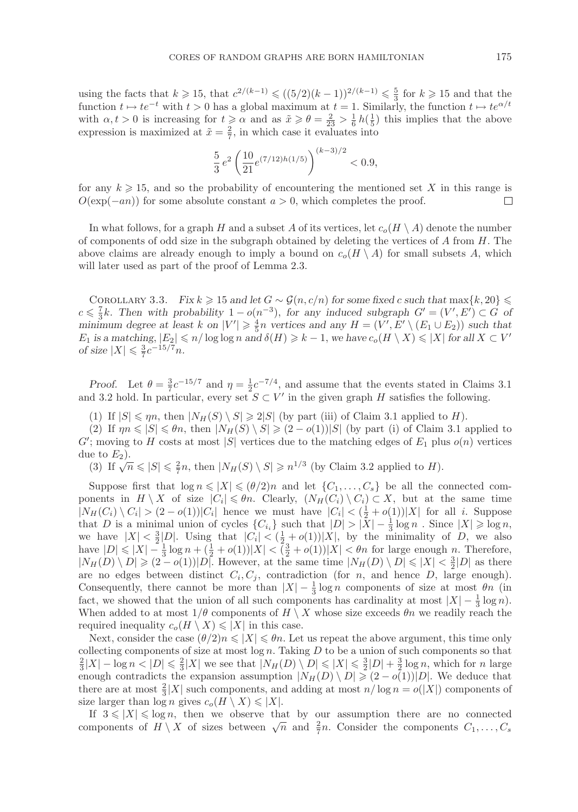using the facts that  $k \ge 15$ , that  $c^{2/(k-1)} \le ((5/2)(k-1))^{2/(k-1)} \le \frac{5}{3}$  for  $k \ge 15$  and that the function  $t \mapsto te^{-t}$  with  $t > 0$  has a global maximum at  $t = 1$ . Similarly, the function  $t \mapsto te^{\alpha/t}$ function  $t \mapsto te^{-t}$  with  $t > 0$  has a global maximum at  $t = 1$ . Similarly, the function  $t \mapsto te^{\alpha/t}$ with  $\alpha, t > 0$  is increasing for  $t \ge \alpha$  and as  $\tilde{x} \ge \theta = \frac{2}{23} > \frac{1}{6} h(\frac{1}{5})$  this implies that the above<br>expression is maximized at  $\tilde{x} = \frac{2}{5}$  in which case it evaluates into expression is maximized at  $\tilde{x} = \frac{2}{7}$ , in which case it evaluates into

$$
\frac{5}{3}e^2\left(\frac{10}{21}e^{(7/12)h(1/5)}\right)^{(k-3)/2} < 0.9,
$$

for any  $k \ge 15$ , and so the probability of encountering the mentioned set X in this range is  $O(\exp(-an))$  for some absolute constant  $a > 0$ , which completes the proof  $O(\exp(-an))$  for some absolute constant  $a > 0$ , which completes the proof.

In what follows, for a graph H and a subset A of its vertices, let  $c_o(H \setminus A)$  denote the number of components of odd size in the subgraph obtained by deleting the vertices of  $A$  from  $H$ . The above claims are already enough to imply a bound on  $c_o(H \setminus A)$  for small subsets A, which will later used as part of the proof of Lemma 2.3.

COROLLARY 3.3. *Fix*  $k \ge 15$  and let  $G \sim \mathcal{G}(n, c/n)$  for some fixed c such that  $\max\{k, 20\} \le$   $\leq L$  Then with probability  $1 - o(n^{-3})$  for any induced subgraph  $G' - (V' E') \subset G$  of  $c \leq \frac{7}{3}k$ . Then with probability  $1 - o(n^{-3})$ , for any induced subgraph  $G' = (V', E') \subset G$  of  $G'$  in  $E'$  and  $F'$  is  $F'$  and  $F'$  is  $F'$  is  $F'$  is  $F'$  is  $F$  is  $F$  is  $F$  is  $F$  is  $F$  is  $F$  is  $F$  is  $F$  is  $F$  is minimum degree at least k on  $|V'| \ge \frac{4}{5}n$  vertices and any  $H = (V', E' \setminus (E_1 \cup E_2))$  such that  $F_2$  is a matching  $|E_2| \le n/\log \log n$  and  $\delta(H) \ge k-1$  we have  $c(H \setminus X) \le |X|$  for all  $X \subset V'$  $E_1$  is a matching,  $|E_2| \leq n/\log \log n$  and  $\delta(H) \geq k - 1$ , we have  $c_o(H \setminus X) \leq |X|$  for all  $X \subset V'$  of size  $|X| < \frac{3}{2}c^{-15/7}n$ *of size*  $|X| \leq \frac{3}{7}c^{-15/7}n$ *.* 

*Proof.* Let  $\theta = \frac{3}{7}c^{-15/7}$  and  $\eta = \frac{1}{2}c^{-7/4}$ , and assume that the events stated in Claims 3.1 d 3.2 hold. In particular, every set  $S \subset V'$  in the given graph H satisfies the following and 3.2 hold. In particular, every set  $S \subset V'$  in the given graph H satisfies the following.

(1) If  $|S| \le \eta n$ , then  $|N_H(S) \setminus S| \ge 2|S|$  (by part (iii) of Claim 3.1 applied to H).<br>(2) If  $n n \le |S| \le \theta n$ , then  $|N_H(S) \setminus S| \ge (2 - o(1))|S|$  (by part (i) of Claim 3.1 i

(2) If  $\eta n \leq |S| \leq \theta n$ , then  $|N_H(S) \setminus S| \geq (2 - o(1))|S|$  (by part (i) of Claim 3.1 applied to moving to H costs at most  $|S|$  vertices due to the matching edges of  $F_1$  plus  $o(n)$  vertices  $G'$ ; moving to H costs at most |S| vertices due to the matching edges of  $E_1$  plus  $o(n)$  vertices due to  $E_2$ ) due to  $E_2$ ).

(3) If  $\sqrt{n} \leq |S| \leq \frac{2}{7}n$ , then  $|N_H(S) \setminus S| \geq n^{1/3}$  (by Claim 3.2 applied to H).

Suppose first that  $\log n \leq |X| \leq (\theta/2)n$  and let  $\{C_1,\ldots,C_s\}$  be all the connected components in  $H \setminus X$  of size  $|C_i| \leq \theta n$ . Clearly,  $(N_H(C_i) \setminus C_i) \subset X$ , but at the same time  $|N_H(C_i) \setminus C_i| > (2 - o(1))|C_i|$  hence we must have  $|C_i| < (\frac{1}{2} + o(1))|X|$  for all i. Suppose<br>that D is a minimal union of cycles  $\{C_i\}$  such that  $|D| > |X| - \frac{1}{2} \log n$  Since  $|X| > \log n$ that D is a minimal union of cycles  $\{C_{i_i}\}$  such that  $|D| > |X| - \frac{1}{3} \log n$ . Since  $|X| \ge \log n$ ,<br>we have  $|X| < \frac{3}{2}|D|$ . Using that  $|C| < (\frac{1}{2} + o(1)) |X|$  by the minimality of D we also we have  $|X| < \frac{3}{2}|D|$ . Using that  $|C_i| < (\frac{1}{2} + o(1))|X|$ , by the minimality of D, we also<br>have  $|D| < |X| - \frac{1}{2} \log n + (\frac{1}{2} + o(1))|X| < (\frac{3}{2} + o(1))|X| < \theta n$  for large enough n. Therefore have  $|D| \le |X| - \frac{1}{3} \log n + (\frac{1}{2} + o(1))|X| < (\frac{3}{2} + o(1))|X| < \theta n$  for large enough n. Therefore,<br> $|N_{II}(D) \setminus D| > (2 - o(1))|D|$  However at the same time  $|N_{II}(D) \setminus D| < |X| < \frac{3}{2}|D|$  as there  $|N_H(D) \setminus D| \geq (2 - o(1))|D|$ . However, at the same time  $|N_H(D) \setminus D| \leq |X| < \frac{3}{2}|D|$  as there are no edges between distinct  $C_i, C_j$ , contradiction (for n, and hence D, large enough). Consequently, there cannot be more than  $|X| - \frac{1}{3} \log n$  components of size at most  $\theta n$  (in fact, we showed that the union of all such components has cardinality at most  $|X| - \frac{1}{2} \log n$ ) fact, we showed that the union of all such components has cardinality at most  $|X| - \frac{1}{3} \log n$ .<br>When added to at most  $1/\theta$  components of  $H \setminus X$  whose size exceeds  $\theta n$  we readily reach the When added to at most  $1/\theta$  components of  $H \setminus X$  whose size exceeds  $\theta_n$  we readily reach the required inequality  $c_o(H \setminus X) \leqslant |X|$  in this case.

Next, consider the case  $(\theta/2)n \leqslant |X| \leqslant \theta n$ . Let us repeat the above argument, this time only collecting components of size at most  $\log n$ . Taking D to be a union of such components so that  $\frac{2}{3}|X| - \log n < |D| \leq \frac{2}{3}|X|$  we see that  $|N_H(D) \setminus D| \leq |X| \leq \frac{3}{2}|D| + \frac{3}{2}\log n$ , which for n large is equivalently that  $|N_H(D) \setminus D| \geq (2 - o(1))|D|$ . We deduce that enough contradicts the expansion assumption  $|N_H(D) \setminus D| \ge (2 - o(1))|D|$ . We deduce that there are at most  $\frac{2}{3}|X|$  such components, and adding at most  $n/\log n = o(|X|)$  components of size larger than  $\log n$  gives  $c(|H \setminus X) \leq |X|$ size larger than  $\log n$  gives  $c_o(H \setminus X) \leq |X|$ .

If  $3 \leqslant |X| \leqslant \log n$ , then we observe that by our assumption there are no connected components of  $H \setminus X$  of sizes between  $\sqrt{n}$  and  $\frac{2}{7}n$ . Consider the components  $C_1, \ldots, C_s$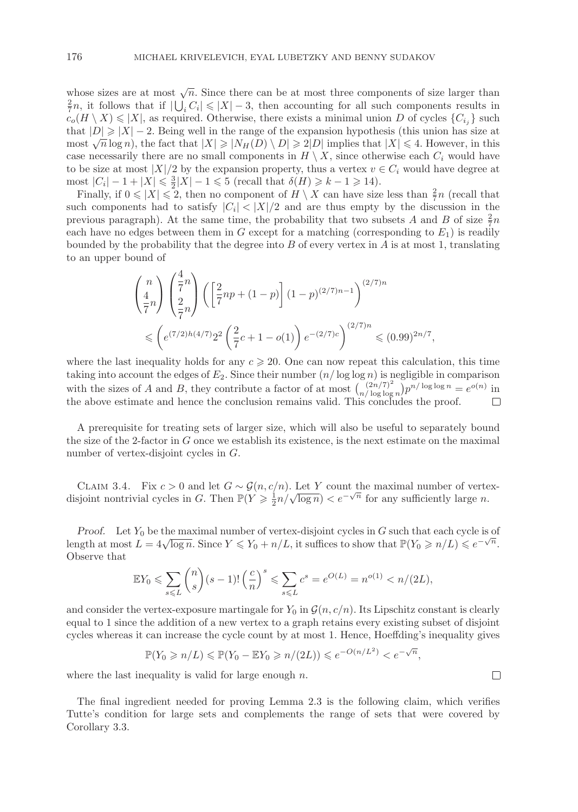whose sizes are at most  $\sqrt{n}$ . Since there can be at most three components of size larger than  $\frac{2}{7}n$ , it follows that if  $|\bigcup_i C_i| \leq |X| - 3$ , then accounting for all such components results in  $C_c(H \setminus X) \leq |X|$  as required. Otherwise, there exists a minimal union D of cycles  $\{C_c\}$  such  $c_o(H \setminus X) \leqslant |X|$ , as required. Otherwise, there exists a minimal union D of cycles  $\{C_{i_i}\}$  such that  $|D| \ge |X| - 2$ . Being well in the range of the expansion hypothesis (this union has size at most  $\sqrt{n} \log n$ ) the fact that  $|X| \ge |N_{\text{tr}}(D) \setminus D| \ge 2|D|$  implies that  $|X| \le 4$ . However in this chat  $|D| \ge |X| = 2$ . Being went in the range of the expansion hypothesis (this diffeomorphical state at most  $\sqrt{n} \log n$ ), the fact that  $|X| \ge |N_H(D) \setminus D| \ge 2|D|$  implies that  $|X| \le 4$ . However, in this case necessarily the case necessarily there are no small components in  $H \setminus X$ , since otherwise each  $C_i$  would have to be size at most  $|X|/2$  by the expansion property, thus a vertex  $v \in C_i$  would have degree at most  $|C_i| - 1 + |X| \le \frac{3}{2}|X| - 1 \le 5$  (recall that  $\delta(H) \ge k - 1 \ge 14$ ).<br>Finally if  $0 \le |X| \le 2$  then no component of  $H \setminus X$  can have size

Finally, if  $0 \le |X| \le 2$ , then no component of  $H \setminus X$  can have size less than  $\frac{2}{7}n$  (recall that components had to satisfy  $|C_i| < |X|/2$  and are thus empty by the discussion in the such components had to satisfy  $|C_i| < |X|/2$  and are thus empty by the discussion in the previous paragraph). At the same time, the probability that two subsets A and B of size  $\frac{2}{7}n$ Frackly  $\overline{P}$  each have no edges between them in G except for a matching (corresponding to  $E_1$ ) is readily<br>bounded by the probability that the degree into B of every vertex in A is at most 1 translating bounded by the probability that the degree into  $B$  of every vertex in  $A$  is at most 1, translating to an upper bound of

$$
\begin{aligned} \binom{n}{\frac{4}{7}n} \binom{\frac{4}{7}n}{\frac{2}{7}n} \left( \left[ \frac{2}{7}np + (1-p) \right] (1-p)^{(2/7)n-1} \right)^{(2/7)n} \\ \leqslant \left( e^{(7/2)h(4/7)} 2^2 \left( \frac{2}{7}c + 1 - o(1) \right) e^{-(2/7)c} \right)^{(2/7)n} \leqslant (0.99)^{2n/7}, \end{aligned}
$$

where the last inequality holds for any  $c \geq 20$ . One can now repeat this calculation, this time<br>taking into account the edges of  $E_2$ . Since their number  $(n/\log \log n)$  is negligible in comparison taking into account the edges of  $E_2$ . Since their number  $(n/\log \log n)$  is negligible in comparison<br>with the gives of A and B, they contribute a factor of at most  $\left(\frac{(2n/7)^2}{n}\right)_{\infty}n/\log \log n = e^{o(n)}$  in with the sizes of A and B, they contribute a factor of at most  $\binom{(2n/7)^2}{n/\log \log n}$ with the sizes of A and B, they contribute a factor of at most  $\binom{(2n/7)^2}{n/\log \log n} p^{n/\log \log n} = e^{o(n)}$  in the above estimate and hence the conclusion remains valid. This concludes the proof.

A prerequisite for treating sets of larger size, which will also be useful to separately bound the size of the 2-factor in G once we establish its existence, is the next estimate on the maximal number of vertex-disjoint cycles in G.

CLAIM 3.4. Fix  $c > 0$  and let  $G \sim \mathcal{G}(n, c/n)$ . Let Y count the maximal number of vertex-CLAIM 3.4. TIX  $c > 0$  and let  $G \sim \mathcal{G}(n, c/n)$ . Let T count the maximal number of verter disjoint nontrivial cycles in G. Then  $\mathbb{P}(Y \geq \frac{1}{2}n/\sqrt{\log n}) < e^{-\sqrt{n}}$  for any sufficiently large n.

*Proof.* Let  $Y_0$  be the maximal number of vertex-disjoint cycles in  $G$  such that each cycle is of length at most  $L = 4\sqrt{\log n}$ . Since  $Y \le Y_0 + n/L$ , it suffices to show that  $\mathbb{P}(Y_0 \ge n/L) \le e^{-\sqrt{n}}$ .<br>Observe that Observe that

$$
\mathbb{E}Y_0 \le \sum_{s \le L} {n \choose s} (s-1)! \left(\frac{c}{n}\right)^s \le \sum_{s \le L} c^s = e^{O(L)} = n^{o(1)} < n/(2L),
$$

and consider the vertex-exposure martingale for  $Y_0$  in  $\mathcal{G}(n, c/n)$ . Its Lipschitz constant is clearly equal to 1 since the addition of a new vertex to a graph retains every existing subset of disjoint cycles whereas it can increase the cycle count by at most 1. Hence, Hoeffding's inequality gives

$$
\mathbb{P}(Y_0 \geqslant n/L) \leqslant \mathbb{P}(Y_0 - \mathbb{E}Y_0 \geqslant n/(2L)) \leqslant e^{-O(n/L^2)} < e^{-\sqrt{n}},
$$

 $\Box$ 

where the last inequality is valid for large enough  $n$ .

The final ingredient needed for proving Lemma 2.3 is the following claim, which verifies Tutte's condition for large sets and complements the range of sets that were covered by Corollary 3.3.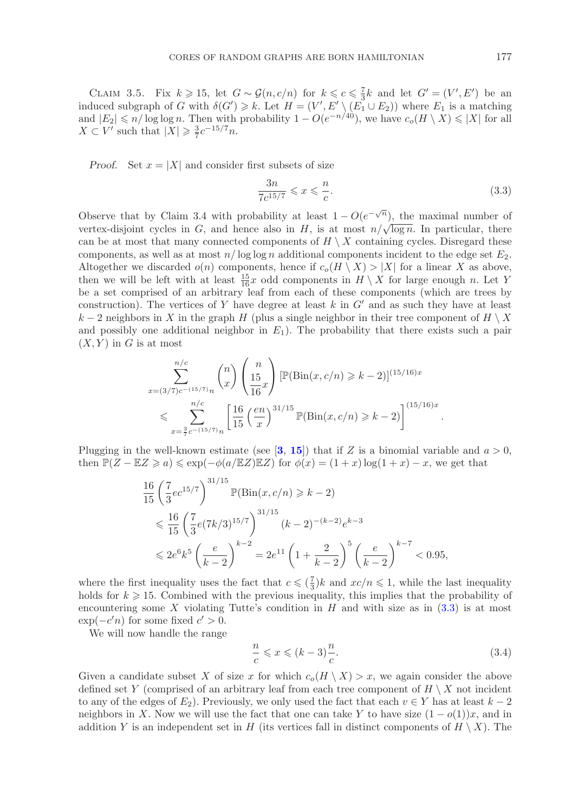CLAIM 3.5. Fix  $k \ge 15$ , let  $G \sim \mathcal{G}(n, c/n)$  for  $k \le c \le \frac{7}{3}k$  and let  $G' = (V', E')$  be an equived subgraph of G with  $\delta(G') \ge k$ . Let  $H = (V' \cdot E') \cdot (E_1 + E_2)$  where  $E_1$  is a matching induced subgraph of G with  $\delta(G') \geq k$ . Let  $H = (V', E' \setminus (E_1 \cup E_2))$  where  $E_1$  is a matching<br>and  $|E_2| \leq n/\log \log n$ . Then with probability  $1 - O(e^{-n/40})$ , we have  $c$   $(H \setminus X) \leq |X|$  for all  $\mathcal{U} \geq k$ . Let  $H = (V)$ and  $|E_2| \le n/\log \log n$ . Then with probability  $1 - O(e^{-n/40})$ , we have  $c_o(H \setminus X) \le |X|$  for all  $X \subset V'$  such that  $|X| > \frac{3}{2}c^{-15/7}n$  $X \subset V'$  such that  $|X| \geq \frac{3}{7}c^{-15/7}n$ .

*Proof.* Set  $x = |X|$  and consider first subsets of size

<span id="page-16-0"></span>
$$
\frac{3n}{7c^{15/7}} \leqslant x \leqslant \frac{n}{c}.\tag{3.3}
$$

 $7c^{15/7} \leq x \leq \frac{1}{c}$ . (3.3)<br>Observe that by Claim 3.4 with probability at least  $1 - O(e^{-\sqrt{n}})$ , the maximal number of<br>vertex-disjoint cycles in G and hence also in H is at most  $n/\sqrt{\log n}$ . In particular, there vertex-disjoint cycles in G, and hence also in H, is at most  $n/\sqrt{\log n}$ . In particular, there can be at most that many connected components of  $H \setminus X$  containing cycles. Disregard these components, as well as at most  $n/\log \log n$  additional components incident to the edge set  $E_2$ . Altogether we discarded  $o(n)$  components, hence if  $c_o(H \setminus X) > |X|$  for a linear X as above, then we will be left with at least  $\frac{15}{16}x$  odd components in  $H \setminus X$  for large enough n. Let Y be a set comprised of an arbitrary leaf from each of these components (which are trees by construction). The vertices of Y have degree at least k in G' and as such they have at least  $k-2$  peighbors in X in the graph H (plus a single peighbor in their tree component of  $H \setminus X$ k − 2 neighbors in X in the graph H (plus a single neighbor in their tree component of  $H \setminus X$ and possibly one additional neighbor in  $E_1$ ). The probability that there exists such a pair  $(X, Y)$  in G is at most

$$
\sum_{x=(3/7)c^{-(15/7)}n}^{n/c} \binom{n}{x} \left(\frac{15}{15}x\right) \left[\mathbb{P}(\text{Bin}(x, c/n) \ge k-2)\right]^{(15/16)x}
$$
  
\$\le \sum\_{x=\frac{3}{7}c^{-(15/7)}n}^{n/c} \left[\frac{16}{15} \left(\frac{en}{x}\right)^{31/15} \mathbb{P}(\text{Bin}(x, c/n) \ge k-2)\right]^{(15/16)x}\$

Plugging in the well-known estimate (see [[3](#page-26-7), [15](#page-27-16)]) that if Z is a binomial variable and  $a > 0$ , then  $\mathbb{P}(Z - \mathbb{E}Z \geq a) \leq \exp(-\phi(a/\mathbb{E}Z)\mathbb{E}Z)$  for  $\phi(x) = (1+x)\log(1+x) - x$ , we get that

$$
\frac{16}{15} \left( \frac{7}{3} e^{2^{15/7}} \right)^{31/15} \mathbb{P}(\text{Bin}(x, c/n) \ge k - 2)
$$
\n
$$
\le \frac{16}{15} \left( \frac{7}{3} e^{(7k/3)^{15/7}} \right)^{31/15} (k - 2)^{-(k-2)} e^{k-3}
$$
\n
$$
\le 2e^6 k^5 \left( \frac{e}{k-2} \right)^{k-2} = 2e^{11} \left( 1 + \frac{2}{k-2} \right)^5 \left( \frac{e}{k-2} \right)^{k-7} < 0.95,
$$

where the first inequality uses the fact that  $c \leqslant \left(\frac{7}{3}\right)k$  and  $xc/n \leqslant 1$ , while the last inequality holds for  $k \geqslant 15$ . Combined with the previous inequality this implies that the probability of holds for  $k \geq 15$ . Combined with the previous inequality, this implies that the probability of encountering some X violating Tutte's condition in H and with size as in (3.3) is at most encountering some X violating Tutte's condition in  $H$  and with size as in  $(3.3)$  is at most  $\exp(-c'n)$  for some fixed  $c' > 0$ .<br>We will now handle the range

We will now handle the range

<span id="page-16-1"></span>
$$
\frac{n}{c} \leqslant x \leqslant (k-3)\frac{n}{c}.\tag{3.4}
$$

Given a candidate subset X of size x for which  $c_o(H \setminus X) > x$ , we again consider the above defined set Y (comprised of an arbitrary leaf from each tree component of  $H \setminus X$  not incident defined set Y (comprised of an arbitrary leaf from each tree component of  $H \setminus X$  not incident to any of the edges of  $E_2$ ). Previously, we only used the fact that each  $v \in Y$  has at least  $k-2$ neighbors in X. Now we will use the fact that one can take Y to have size  $(1 - o(1))x$ , and in addition Y is an independent set in H (its vertices fall in distinct components of  $H \setminus X$ ). The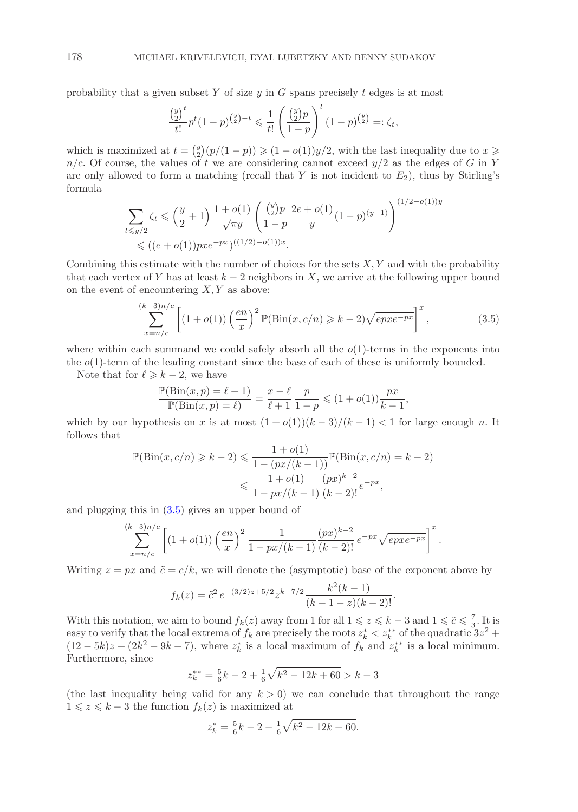probability that a given subset Y of size  $y$  in G spans precisely t edges is at most

$$
\frac{\binom{y}{2}^t}{t!} p^t (1-p)^{\binom{y}{2}-t} \leq \frac{1}{t!} \left( \frac{\binom{y}{2} p}{1-p} \right)^t (1-p)^{\binom{y}{2}} =: \zeta_t,
$$

which is maximized at  $t = \binom{y}{2}(p/(1-p)) \geq (1-o(1))y/2$ , with the last inequality due to  $x \geq n/c$ . Of course, the values of t we are considering cannot exceed  $y/2$  as the edges of G in Y  $n/c$ . Of course, the values of t we are considering cannot exceed  $y/2$  as the edges of G in Y are only allowed to form a matching (recall that Y is not incident to  $E_2$ ), thus by Stirling's formula

$$
\sum_{t \leq y/2} \zeta_t \leq \left(\frac{y}{2} + 1\right) \frac{1 + o(1)}{\sqrt{\pi y}} \left(\frac{\binom{y}{2}p}{1 - p} \frac{2e + o(1)}{y} (1 - p)^{(y-1)}\right)^{(1/2 - o(1))y} \leq ((e + o(1))px e^{-px})^{((1/2) - o(1))x}.
$$

Combining this estimate with the number of choices for the sets  $X, Y$  and with the probability that each vertex of Y has at least  $k-2$  neighbors in X, we arrive at the following upper bound on the event of encountering  $X, Y$  as above:

<span id="page-17-0"></span>
$$
\sum_{x=n/c}^{(k-3)n/c} \left[ (1+o(1)) \left( \frac{en}{x} \right)^2 \mathbb{P}(\text{Bin}(x, c/n) \ge k-2) \sqrt{epxe^{-px}} \right]^x, \tag{3.5}
$$

where within each summand we could safely absorb all the  $o(1)$ -terms in the exponents into the  $o(1)$ -term of the leading constant since the base of each of these is uniformly bounded.

Note that for  $\ell \geq k - 2$ , we have

$$
\frac{\mathbb{P}(\text{Bin}(x, p) = \ell + 1)}{\mathbb{P}(\text{Bin}(x, p) = \ell)} = \frac{x - \ell}{\ell + 1} \frac{p}{1 - p} \leq (1 + o(1)) \frac{px}{k - 1},
$$

which by our hypothesis on x is at most  $(1 + o(1))(k - 3)/(k - 1) < 1$  for large enough n. It follows that follows that

$$
\mathbb{P}(\text{Bin}(x, c/n) \ge k - 2) \le \frac{1 + o(1)}{1 - (px/(k-1))} \mathbb{P}(\text{Bin}(x, c/n) = k - 2)
$$

$$
\le \frac{1 + o(1)}{1 - px/(k-1)} \frac{(px)^{k-2}}{(k-2)!} e^{-px},
$$

and plugging this in [\(3.5\)](#page-17-0) gives an upper bound of

$$
\sum_{x=n/c}^{(k-3)n/c} \left[ (1+o(1)) \left( \frac{en}{x} \right)^2 \frac{1}{1-px/(k-1)} \frac{(px)^{k-2}}{(k-2)!} e^{-px} \sqrt{epxe^{-px}} \right]^x.
$$

Writing  $z = px$  and  $\tilde{c} = c/k$ , we will denote the (asymptotic) base of the exponent above by

$$
f_k(z) = \tilde{c}^2 e^{-(3/2)z + 5/2} z^{k-7/2} \frac{k^2(k-1)}{(k-1-z)(k-2)!}.
$$

With this notation, we aim to bound  $f_k(z)$  away from 1 for all  $1 \leq z \leq k-3$  and  $1 \leq \tilde{c} \leq \frac{7}{3}$ . It is easy to verify that the local extrema of  $f_k$  are precisely the roots  $z_k^* \leq z_k^{**}$  of the quadratic  $3z^2 +$ <br>(12 – 5k)  $\gamma + (2k^2 - 9k + 7)$  where  $z^*$  is a local maximum of  $f_k$  and  $z^{**}$  is a local minimum  $(12-5k)z + (2k^2 - 9k + 7)$ , where  $z_k^*$  is a local maximum of  $f_k$  and  $z_k^{**}$  is a local minimum.<br>Furthermore since Furthermore, since

$$
z_k^{**} = \frac{5}{6}k - 2 + \frac{1}{6}\sqrt{k^2 - 12k + 60} > k - 3
$$

(the last inequality being valid for any  $k > 0$ ) we can conclude that throughout the range  $1 \leq z \leq k - 3$  the function  $f_{k}(z)$  is maximized at  $1 \leq z \leq k-3$  the function  $f_k(z)$  is maximized at

$$
z_k^* = \frac{5}{6}k - 2 - \frac{1}{6}\sqrt{k^2 - 12k + 60}.
$$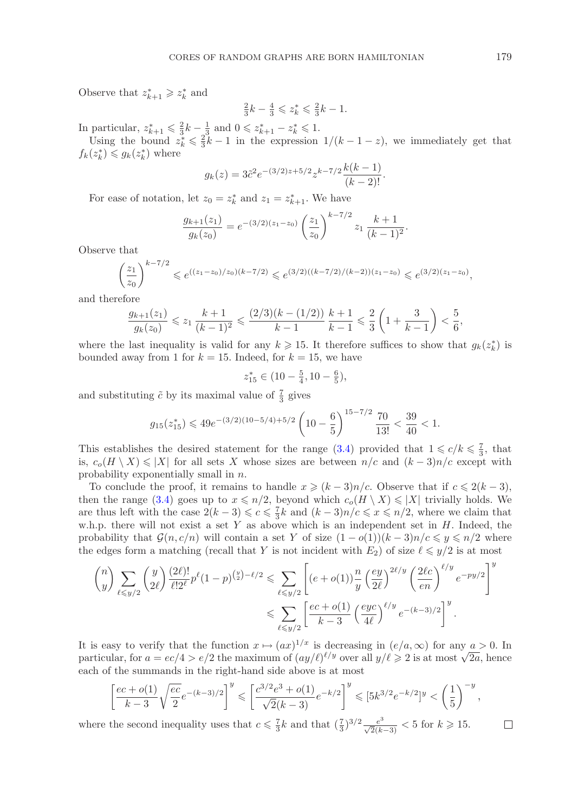Observe that  $z_{k+1}^* \geq z_k^*$  and

$$
\frac{2}{3}k - \frac{4}{3} \leqslant z_k^* \leqslant \frac{2}{3}k - 1.
$$

In particular,  $z_{k+1}^* \leq \frac{2}{3}k - \frac{1}{3}$  and  $0 \leq z_{k+1}^* - z_k^* \leq 1$ .<br>Using the bound  $z^* \leq \frac{2}{3}k - 1$  in the expression

Using the bound  $z_k^* \leq \frac{2}{3}k - 1$  in the expression  $1/(k - 1 - z)$ , we immediately get that  $(z^*) \leq a_k(z^*)$  where  $f_k(z_k^*) \leqslant g_k(z_k^*)$  where

$$
g_k(z) = 3\tilde{c}^2 e^{-(3/2)z + 5/2} z^{k-7/2} \frac{k(k-1)}{(k-2)!}.
$$

For ease of notation, let  $z_0 = z_k^*$  and  $z_1 = z_{k+1}^*$ . We have

$$
\frac{g_{k+1}(z_1)}{g_k(z_0)} = e^{-(3/2)(z_1 - z_0)} \left(\frac{z_1}{z_0}\right)^{k-7/2} z_1 \frac{k+1}{(k-1)^2}.
$$

Observe that

$$
\left(\frac{z_1}{z_0}\right)^{k-7/2} \leqslant e^{((z_1-z_0)/z_0)(k-7/2)} \leqslant e^{(3/2)((k-7/2)/(k-2))(z_1-z_0)} \leqslant e^{(3/2)(z_1-z_0)},
$$

and therefore

$$
\frac{g_{k+1}(z_1)}{g_k(z_0)} \leqslant z_1 \frac{k+1}{(k-1)^2} \leqslant \frac{(2/3)(k-(1/2))}{k-1} \frac{k+1}{k-1} \leqslant \frac{2}{3} \left(1 + \frac{3}{k-1}\right) < \frac{5}{6},
$$

where the last inequality is valid for any  $k \ge 15$ . It therefore suffices to show that  $g_k(z_k^*)$  is bounded away from 1 for  $k = 15$ . Indeed, for  $k = 15$ , we have bounded away from 1 for  $k = 15$ . Indeed, for  $k = 15$ , we have

$$
z_{15}^* \in (10 - \frac{5}{4}, 10 - \frac{6}{5}),
$$

and substituting  $\tilde{c}$  by its maximal value of  $\frac{7}{3}$  gives

$$
g_{15}(z_{15}^*) \leq 49e^{-(3/2)(10-5/4)+5/2} \left(10-\frac{6}{5}\right)^{15-7/2} \frac{70}{13!} < \frac{39}{40} < 1.
$$

This establishes the desired statement for the range [\(3.4\)](#page-16-1) provided that  $1 \leq c/k \leq \frac{7}{3}$ , that is  $c(H \setminus X) \leq |X|$  for all sets X whose sizes are between  $n/c$  and  $(k-3)n/c$  except with is,  $c_o(H \setminus X) \le |X|$  for all sets X whose sizes are between  $n/c$  and  $(k-3)n/c$  except with probability exponentially small in n.

To conclude the proof, it remains to handle  $x \geq (k-3)n/c$ . Observe that if  $c \leq 2(k-3)$ ,<br>en the range (3.4) goes up to  $x \leq n/2$ , beyond which  $c(H \setminus X) \leq |X|$  trivially holds. We then the range [\(3.4\)](#page-16-1) goes up to  $x \le n/2$ , beyond which  $c_o(H \setminus X) \le |X|$  trivially holds. We are thus left with the case  $2(k-3) \leqslant c \leqslant \frac{7}{3}k$  and  $(k-3)n/c \leqslant \frac{7}{3}k \leqslant n/2$ , where we claim that when there will not exist a set Y as above which is an independent set in H Indeed, the w.h.p. there will not exist a set Y as above which is an independent set in  $H$ . Indeed, the probability that  $\mathcal{G}(n, c/n)$  will contain a set Y of size  $(1 - o(1))(k - 3)n/c \leqslant y \leqslant n/2$  where the edges form a matching (recall that Y is not incident with  $E_2$ ) of size  $\ell \leq y/2$  is at most

$$
\binom{n}{y} \sum_{\ell \leq y/2} \binom{y}{2\ell} \frac{(2\ell)!}{\ell! 2^{\ell}} p^{\ell} (1-p)^{\binom{y}{2}-\ell/2} \leq \sum_{\ell \leq y/2} \left[ (e+o(1)) \frac{n}{y} \left( \frac{ey}{2\ell} \right)^{2\ell/y} \left( \frac{2\ell c}{en} \right)^{\ell/y} e^{-py/2} \right]^y
$$
  

$$
\leq \sum_{\ell \leq y/2} \left[ \frac{ec+o(1)}{k-3} \left( \frac{eye}{4\ell} \right)^{\ell/y} e^{-(k-3)/2} \right]^y.
$$

It is easy to verify that the function  $x \mapsto (ax)^{1/x}$  is decreasing in  $(e/a, \infty)$  for any  $a > 0$ . In It is easy to verify that the function  $x \mapsto (ax)^{-1}$  is decreasing in  $(e/a, \infty)$  for any  $a > 0$ . In particular, for  $a = ec/4 > e/2$  the maximum of  $(ay/\ell)^{\ell/y}$  over all  $y/\ell \ge 2$  is at most  $\sqrt{2a}$ , hence each of the summands i each of the summands in the right-hand side above is at most

$$
\left[\frac{ec+o(1)}{k-3}\sqrt{\frac{ec}{2}}e^{-(k-3)/2}\right]^y\leqslant \left[\frac{c^{3/2}e^3+o(1)}{\sqrt{2}(k-3)}e^{-k/2}\right]^y\leqslant [5k^{3/2}e^{-k/2}]^y<\left(\frac{1}{5}\right)^{-y},
$$

where the second inequality uses that  $c \leq \frac{7}{3}k$  and that  $(\frac{7}{3})^{3/2} \frac{e^3}{\sqrt{2}(k-3)} < 5$  for  $k \geq 15$ .

 $\Box$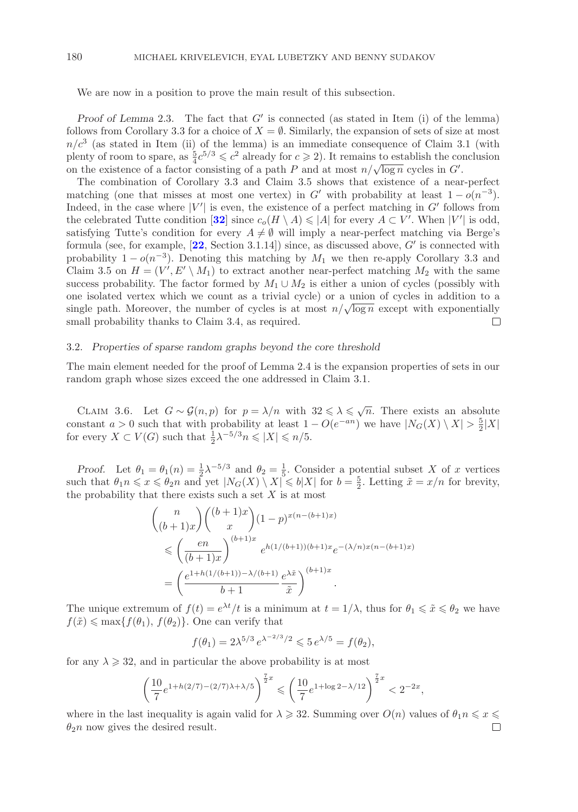We are now in a position to prove the main result of this subsection.

*Proof of Lemma* 2.3. The fact that G' is connected (as stated in Item (i) of the lemma) lows from Corollary 3.3 for a choice of  $X - \emptyset$ . Similarly the expansion of sets of size at most follows from Corollary 3.3 for a choice of  $X = \emptyset$ . Similarly, the expansion of sets of size at most  $n/c<sup>3</sup>$  (as stated in Item (ii) of the lemma) is an immediate consequence of Claim 3.1 (with plenty of room to spare, as  $\frac{5}{4}c^{5/3} \leq c^2$  already for  $c \geq 2$ ). It remains to establish the conclusion<br>on the existence of a factor consisting of a path P and at most  $n/\sqrt{\log n}$  cycles in G' on the existence of a factor consisting of a path P and at most  $n/\sqrt{\log n}$  cycles in G<sup>-1</sup><br>The combination of Corollary 3.3 and Claim 3.5 shows that existence of a near- $\cdot$ 

The combination of Corollary 3.3 and Claim 3.5 shows that existence of a near-perfect matching (one that misses at most one vertex) in G' with probability at least  $1 - o(n^{-3})$ .<br>Indeed in the case where  $|V'|$  is even the existence of a perfect matching in G' follows from Indeed, in the case where |V'| is even, the existence of a perfect matching in G' follows from<br>the celebrated Tutte condition [32] since  $c(H \setminus A) < |A|$  for every  $A \subset V'$ . When  $|V'|$  is odd the celebrated Tutte condition  $[32]$  $[32]$  $[32]$  since  $c_o(H \setminus A) \leq |A|$  for every  $A \subset V'$ . When  $|V'|$  is odd, satisfying Tutte's condition for every  $A \neq \emptyset$  will imply a near-perfect matching via Berge's satisfying Tutte's condition for every  $A \neq \emptyset$  will imply a near-perfect matching via Berge's formula (see, for example,  $[22, \text{Section } 3.1.14]$  $[22, \text{Section } 3.1.14]$  $[22, \text{Section } 3.1.14]$ ) since, as discussed above, G' is connected with<br>probability  $1 - o(n^{-3})$ . Denoting this matching by  $M_1$  we then re-apply Corollary 3.3 and probability  $1-o(n^{-3})$ . Denoting this matching by  $M_1$  we then re-apply Corollary 3.3 and Claim 3.5 on  $H = (V', E' \setminus M_1)$  to extract another near-perfect matching  $M_2$  with the same<br>success probability. The factor formed by  $M_1 \sqcup M_2$  is either a union of cycles (possibly with success probability. The factor formed by  $M_1 \cup M_2$  is either a union of cycles (possibly with one isolated vertex which we count as a trivial cycle) or a union of cycles in addition to a single path. Moreover, the number of cycles is at most  $n/\sqrt{\log n}$  except with exponentially small probability thanks to Claim 3.4, as required. small probability thanks to Claim 3.4, as required.

## 3.2. *Properties of sparse random graphs beyond the core threshold*

The main element needed for the proof of Lemma 2.4 is the expansion properties of sets in our random graph whose sizes exceed the one addressed in Claim 3.1.

CLAIM 3.6. Let  $G \sim \mathcal{G}(n, p)$  for  $p = \lambda/n$  with  $32 \leq \lambda \leq \sqrt{n}$ . There exists an absolute constant  $a > 0$  such that with probability at least  $1 - O(e^{-an})$  we have  $|N_G(X) \setminus X| > \frac{5}{2}|X|$ <br>for every  $X \subset V(G)$  such that  $\frac{1}{2} \lambda^{-5/3} n \leq |X| \leq n/5$ for every  $X \subset V(G)$  such that  $\frac{1}{2} \lambda^{-5/3} n \leqslant |X| \leqslant n/5$ .

*Proof.* Let  $\theta_1 = \theta_1(n) = \frac{1}{2}\lambda^{-5/3}$  and  $\theta_2 = \frac{1}{5}$ . Consider a potential subset X of x vertices ch that  $\theta_1 n \leq x \leq \theta_2 n$  and yet  $|N_{\alpha}(X) \setminus X| \leq h|X|$  for  $h = \frac{5}{5}$ . Letting  $\tilde{x} = x/n$  for brevity such that  $\theta_1 n \leq x \leq \theta_2 n$  and yet  $|N_G(X) \setminus X| \leq b|X|$  for  $b = \frac{5}{2}$ . Letting  $\tilde{x} = x/n$  for brevity, the probability that there exists such a set X is at most the probability that there exists such a set  $X$  is at most

$$
\binom{n}{(b+1)x}\binom{(b+1)x}{x}(1-p)^{x(n-(b+1)x)}
$$
\n
$$
\leqslant \left(\frac{en}{(b+1)x}\right)^{(b+1)x}e^{h(1/(b+1))(b+1)x}e^{-(\lambda/n)x(n-(b+1)x)}
$$
\n
$$
=\left(\frac{e^{1+h(1/(b+1))-\lambda/(b+1)}}{b+1}\frac{e^{\lambda x}}{\tilde{x}}\right)^{(b+1)x}.
$$

The unique extremum of  $f(t) = e^{\lambda t}/t$  is a minimum at  $t = 1/\lambda$ , thus for  $\theta_1 \leq \tilde{x} \leq \theta_2$  we have  $f(\tilde{x}) \le \max\{f(\theta_1), f(\theta_2)\}\.$  One can verify that

$$
f(\theta_1) = 2\lambda^{5/3} e^{\lambda^{-2/3}/2} \leq 5 e^{\lambda/5} = f(\theta_2),
$$

for any  $\lambda \geq 32$ , and in particular the above probability is at most

$$
\left(\frac{10}{7}e^{1+h(2/7)-(2/7)\lambda+\lambda/5}\right)^{\frac{7}{2}x} \leqslant \left(\frac{10}{7}e^{1+\log 2-\lambda/12}\right)^{\frac{7}{2}x} < 2^{-2x},
$$

where in the last inequality is again valid for  $\lambda \geq 32$ . Summing over  $O(n)$  values of  $\theta_1 n \leq x \leq \theta_2 n$  now gives the desired result  $\theta_2$ n now gives the desired result.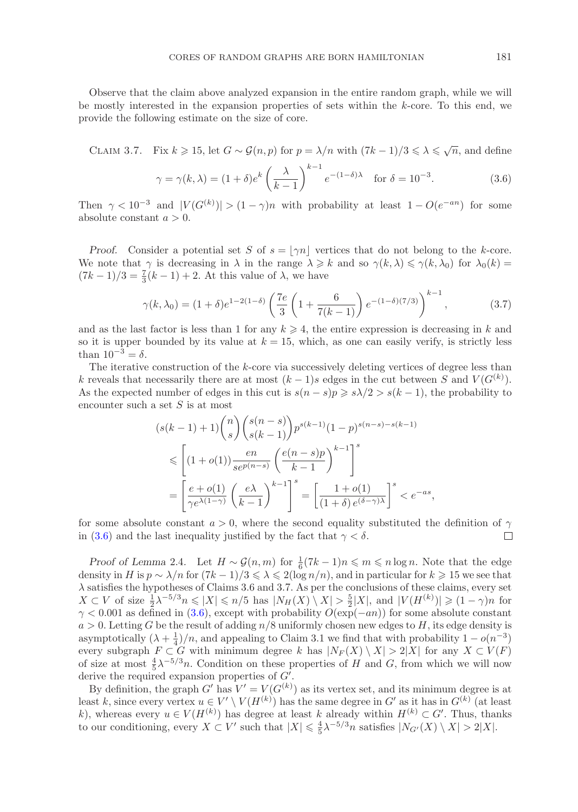Observe that the claim above analyzed expansion in the entire random graph, while we will be mostly interested in the expansion properties of sets within the k-core. To this end, we provide the following estimate on the size of core.

CLAIM 3.7. Fix  $k \geqslant 15$ , let  $G \sim \mathcal{G}(n, p)$  for  $p = \lambda/n$  with  $(7k - 1)/3 \leqslant \lambda \leqslant \sqrt{n}$ , and define

<span id="page-20-0"></span>
$$
\gamma = \gamma(k,\lambda) = (1+\delta)e^k \left(\frac{\lambda}{k-1}\right)^{k-1} e^{-(1-\delta)\lambda} \quad \text{for } \delta = 10^{-3}.
$$
 (3.6)

Then  $\gamma < 10^{-3}$  and  $|V(G^{(k)})| > (1 - \gamma)n$  with probability at least  $1 - O(e^{-an})$  for some absolute constant  $a > 0$ absolute constant  $a > 0$ .

*Proof.* Consider a potential set S of  $s = |\gamma n|$  vertices that do not belong to the k-core. We note that  $\gamma$  is decreasing in  $\lambda$  in the range  $\lambda \geq k$  and so  $\gamma(k, \lambda) \leq \gamma(k, \lambda_0)$  for  $\lambda_0(k) = (7k - 1)/3 - \frac{7}{2}(k - 1) + 2$ . At this value of  $\lambda$  we have  $(7k-1)/3 = \frac{7}{3}(k-1) + 2$ . At this value of  $\lambda$ , we have

<span id="page-20-1"></span>
$$
\gamma(k,\lambda_0) = (1+\delta)e^{1-2(1-\delta)} \left(\frac{7e}{3}\left(1+\frac{6}{7(k-1)}\right)e^{-(1-\delta)(7/3)}\right)^{k-1},\tag{3.7}
$$

and as the last factor is less than 1 for any  $k \geq 4$ , the entire expression is decreasing in k and<br>so it is upper bounded by its value at  $k - 15$  which as one can easily verify is strictly less so it is upper bounded by its value at  $k = 15$ , which, as one can easily verify, is strictly less than  $10^{-3} = \delta$ .

The iterative construction of the k-core via successively deleting vertices of degree less than k reveals that necessarily there are at most  $(k-1)s$  edges in the cut between S and  $V(G^{(k)})$ .<br>As the expected number of edges in this cut is  $s(n-s)n > s(2) > s(k-1)$  the probability to As the expected number of edges in this cut is  $s(n - s)p \geqslant s\lambda/2 > s(k - 1)$ , the probability to encounter such a set S is at most encounter such a set  $S$  is at most

$$
(s(k-1)+1){\binom{n}{s}}{s(k-1) \choose s(k-1)} p^{s(k-1)} (1-p)^{s(n-s)-s(k-1)}
$$
  

$$
\leq \left[ (1+o(1)) \frac{en}{se^{p(n-s)}} \left( \frac{e(n-s)p}{k-1} \right)^{k-1} \right]^s
$$
  

$$
= \left[ \frac{e+o(1)}{\gamma e^{\lambda(1-\gamma)}} \left( \frac{e\lambda}{k-1} \right)^{k-1} \right]^s = \left[ \frac{1+o(1)}{(1+\delta)e^{(\delta-\gamma)\lambda}} \right]^s < e^{-as},
$$

for some absolute constant  $a > 0$ , where the second equality substituted the definition of  $\gamma$  in (3.6) and the last inequality instified by the fact that  $\gamma < \delta$ . in [\(3.6\)](#page-20-0) and the last inequality justified by the fact that  $\gamma < \delta$ .

*Proof of Lemma* 2.4*.* Let  $H \sim \mathcal{G}(n,m)$  for  $\frac{1}{6}(7k-1)n \leq m \leq n \log n$ . Note that the edge nity in  $H$  is  $n \sim \lambda/n$  for  $(7k-1)/3 \leq \lambda \leq 2(\log n/n)$  and in particular for  $k \geq 15$  we see that density in H is  $p \sim \lambda/n$  for  $(7k-1)/3 \le \lambda \le 2(\log n/n)$ , and in particular for  $k \ge 15$  we see that  $\lambda$  satisfies the hypotheses of Claims 3.6 and 3.7. As per the conclusions of these claims, every set λ satisfies the hypotheses of Claims 3.6 and 3.7. As per the conclusions of these claims, every set  $X \subset V$  of size  $\frac{1}{2}\lambda^{-5/3}n \leq |X| \leq n/5$  has  $|N_H(X) \setminus X| > \frac{5}{2}|X|$ , and  $|V(H^{(k)})| \geq (1 - \gamma)n$  for  $\infty < 0.001$  as defined in (3.6) except with probability  $O(\exp(-an))$  for some absolute constant  $\gamma$  < 0.001 as defined in [\(3.6\)](#page-20-0), except with probability  $O(\exp(-an))$  for some absolute constant  $a > 0$ . Letting G be the result of adding  $n/8$  uniformly chosen new edges to H, its edge density is asymptotically  $(\lambda + \frac{1}{4})/n$ , and appealing to Claim 3.1 we find that with probability  $1 - o(n^{-3})$ <br>every subgraph  $F \subset G$  with minimum degree k has  $|N_{\Gamma}(X) \setminus X| > 2|X|$  for any  $X \subset V(F)$ every subgraph  $F \subset G$  with minimum degree k has  $|N_F(X) \setminus X| > 2|X|$  for any  $X \subset V(F)$ of size at most  $\frac{4}{5}\lambda^{-5/3}n$ . Condition on these properties of H and G, from which we will now<br>derive the required expansion properties of G' derive the required expansion properties of  $G'$ .<br>By definition, the graph  $G'$  has  $V' - V(G^{(k)})$ 

By definition, the graph G' has  $V' = V(G^{(k)})$  as its vertex set, and its minimum degree is at  $k$  since every vertex  $u \in V' \setminus V(H^{(k)})$  has the same degree in  $G'$  as it has in  $G^{(k)}$  (at least least k, since every vertex  $u \in V' \setminus V(H^{(k)})$  has the same degree in G' as it has in  $G^{(k)}$  (at least k) whereas every  $u \in V(H^{(k)})$  has degree at least k already within  $H^{(k)} \subset G'$ . Thus thanks k), whereas every  $u \in V(H^{(k)})$  has degree at least k already within  $H^{(k)} \subset G'$ . Thus, thanks<br>to our conditioning every  $X \subset V'$  such that  $|X| \leq \frac{4}{3} \lambda^{-5/3} n$  satisfies  $|N_{\alpha}(X) \setminus X| \leq 2|X|$ to our conditioning, every  $X \subset V'$  such that  $|X| \leq \frac{4}{5} \lambda^{-5/3} n$  satisfies  $|N_{G'}(X) \setminus X| > 2|X|$ .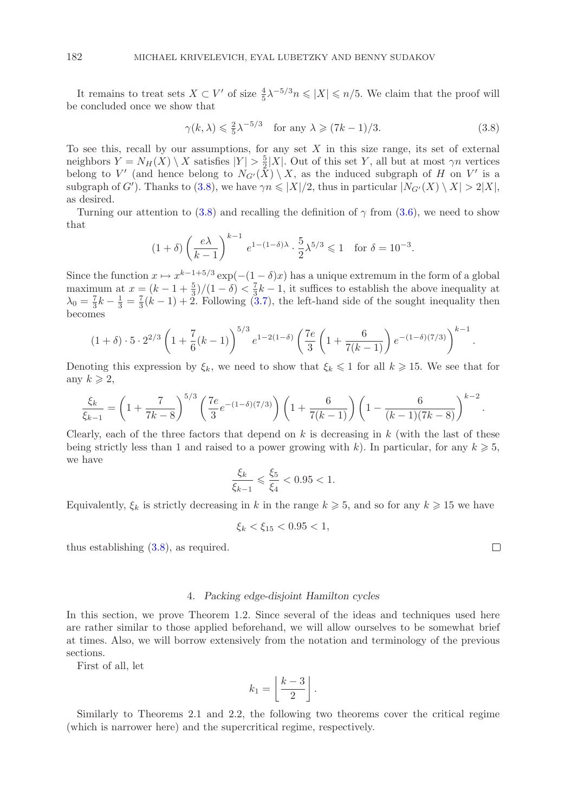It remains to treat sets  $X \subset V'$  of size  $\frac{4}{5}\lambda^{-5/3}n \leq |X| \leq n/5$ . We claim that the proof will concluded once we show that be concluded once we show that

<span id="page-21-0"></span>
$$
\gamma(k,\lambda) \leq \frac{2}{5}\lambda^{-5/3}
$$
 for any  $\lambda \geq (7k-1)/3$ . (3.8)

To see this, recall by our assumptions, for any set X in this size range, its set of external<br>neighbors  $Y = N_{\text{tr}}(X) \setminus X$  satisfies  $|Y| > \frac{5}{2}|X|$  Out of this set Y all but at most  $\gamma n$  vertices neighbors  $Y = N_H(X) \setminus X$  satisfies  $|Y| > \frac{5}{2}|X|$ . Out of this set Y, all but at most  $\gamma n$  vertices<br>belong to V' (and hence belong to  $N_{Cl}(X) \setminus X$  as the induced subgraph of H on V' is a belong to V' (and hence belong to  $N_{G'}(X) \setminus X$ , as the induced subgraph of H on V' is a<br>subgraph of G') Thanks to (3.8) we have  $\gamma n \leq |X|/2$  thus in particular  $|N_{G'}(X) \setminus X| > 2|X|$ subgraph of G'). Thanks to [\(3.8\)](#page-21-0), we have  $\gamma n \leqslant |X|/2$ , thus in particular  $|N_{G'}(X) \setminus X| > 2|X|$ , as desired as desired.

Turning our attention to [\(3.8\)](#page-21-0) and recalling the definition of  $\gamma$  from [\(3.6\)](#page-20-0), we need to show that

$$
(1+\delta)\left(\frac{e\lambda}{k-1}\right)^{k-1}e^{1-(1-\delta)\lambda}\cdot\frac{5}{2}\lambda^{5/3}\leq 1 \quad \text{for } \delta=10^{-3}.
$$

Since the function  $x \mapsto x^{k-1+5/3} \exp(-(1-\delta)x)$  has a unique extremum in the form of a global maximum at  $x = (k - 1 + \frac{3}{2})/(1 - \delta) < \frac{7}{3}k - 1$ , it suffices to establish the above inequality at  $\lambda_0 = \frac{7}{2}k - \frac{1}{2} = \frac{7}{2}(k - 1) + 2$ . Following (3.7), the left-hand side of the sought inequality then  $\lambda_0 = \frac{7}{3}k - \frac{1}{3} = \frac{7}{3}(k-1) + 2$ . Following [\(3.7\)](#page-20-1), the left-hand side of the sought inequality then becomes becomes

$$
(1+\delta) \cdot 5 \cdot 2^{2/3} \left(1 + \frac{7}{6}(k-1)\right)^{5/3} e^{1-2(1-\delta)} \left(\frac{7e}{3}\left(1 + \frac{6}{7(k-1)}\right)e^{-(1-\delta)(7/3)}\right)^{k-1}
$$

Denoting this expression by  $\xi_k$ , we need to show that  $\xi_k \leq 1$  for all  $k \geq 15$ . We see that for any  $k \geqslant 2$ ,

$$
\frac{\xi_k}{\xi_{k-1}} = \left(1 + \frac{7}{7k-8}\right)^{5/3} \left(\frac{7e}{3}e^{-(1-\delta)(7/3)}\right) \left(1 + \frac{6}{7(k-1)}\right) \left(1 - \frac{6}{(k-1)(7k-8)}\right)^{k-2}
$$

Clearly, each of the three factors that depend on  $k$  is decreasing in  $k$  (with the last of these being strictly less than 1 and raised to a power growing with k). In particular, for any  $k \geq 5$ , we have

$$
\frac{\xi_k}{\xi_{k-1}} \leq \frac{\xi_5}{\xi_4} < 0.95 < 1.
$$

Equivalently,  $\xi_k$  is strictly decreasing in k in the range  $k \geqslant 5$ , and so for any  $k \geqslant 15$  we have

$$
\xi_k < \xi_{15} < 0.95 < 1,
$$

thus establishing [\(3.8\)](#page-21-0), as required.

## 4. *Packing edge-disjoint Hamilton cycles*

In this section, we prove Theorem 1.2. Since several of the ideas and techniques used here are rather similar to those applied beforehand, we will allow ourselves to be somewhat brief at times. Also, we will borrow extensively from the notation and terminology of the previous sections.

First of all, let

$$
k_1 = \left\lfloor \frac{k-3}{2} \right\rfloor.
$$

Similarly to Theorems 2.1 and 2.2, the following two theorems cover the critical regime (which is narrower here) and the supercritical regime, respectively.

 $\Box$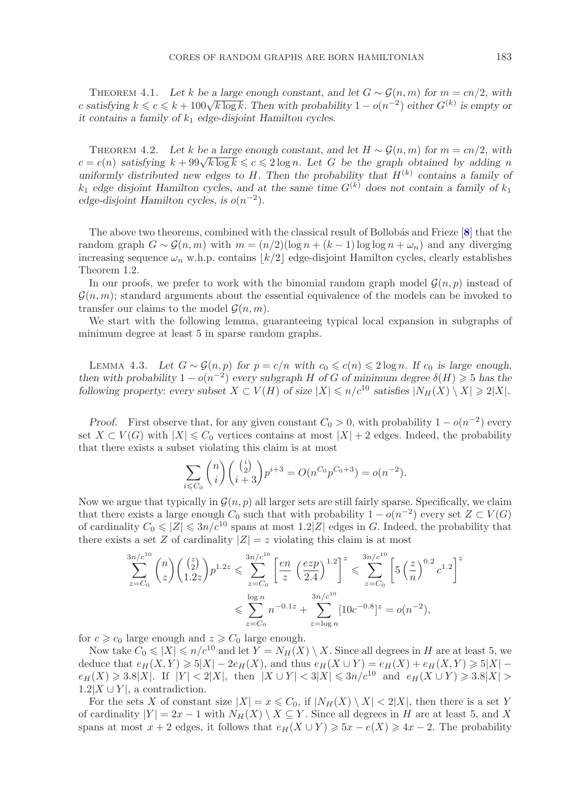THEOREM 4.1. Let k be a large enough constant, and let  $G \sim \mathcal{G}(n, m)$  for  $m = cn/2$ , with c satisfying  $k \leq c \leq k + 100\sqrt{k \log k}$ . Then with probability  $1 - o(n^{-2})$  *either*  $G^{(k)}$  is empty or *it contains a family of*  $k_1$  *edge-disjoint Hamilton cycles.* 

THEOREM 4.2. Let k be a large enough constant, and let  $H \sim \mathcal{G}(n,m)$  for  $m = cn/2$ , with  $c = c(n)$  *satisfying*  $k + 99\sqrt{k \log k} \leqslant c \leqslant 2 \log n$ *. Let* G be the graph obtained by adding n uniformly distributed new edges to  $H$ . Then the probability that  $H^{(k)}$  contains a family of  $k_1$  *edge disjoint Hamilton cycles, and at the same time*  $G^{(k)}$  *does not contain a family of*  $k_1$ *edge-disjoint Hamilton cycles, is*  $o(n^{-2})$ *.* 

The above two theorems, combined with the classical result of Bollobás and Frieze [[8](#page-26-8)] that the random graph  $G \sim \mathcal{G}(n,m)$  with  $m = (n/2)(\log n + (k-1)\log \log n + \omega_n)$  and any diverging increasing sequence  $\omega_n$  w.h.p. contains  $|k/2|$  edge-disjoint Hamilton cycles, clearly establishes Theorem 1.2.

In our proofs, we prefer to work with the binomial random graph model  $\mathcal{G}(n, p)$  instead of  $\mathcal{G}(n,m)$ ; standard arguments about the essential equivalence of the models can be invoked to transfer our claims to the model  $\mathcal{G}(n, m)$ .

We start with the following lemma, guaranteeing typical local expansion in subgraphs of minimum degree at least 5 in sparse random graphs.

LEMMA 4.3. Let  $G \sim \mathcal{G}(n, p)$  for  $p = c/n$  with  $c_0 \leqslant c(n) \leqslant 2 \log n$ . If  $c_0$  is large enough, *then with probability*  $1 - o(n^{-2})$  *every subgraph* H *of* G *of minimum degree*  $\delta(H) \ge 5$  *has the* following property: *every subset*  $X \subset V(H)$  of size  $|X| \le n/c^{10}$  satisfies  $|N_H(X)| \ge 2|X|$ *following property: every subset*  $X \subset V(H)$  *of size*  $|X| \leq n/c^{10}$  *satisfies*  $|N_H(X) \setminus X| \geq 2|X|$ *.* 

*Proof.* First observe that, for any given constant  $C_0 > 0$ , with probability  $1 - o(n^{-2})$  every set  $X \subset V(G)$  with  $|X| \leq C_0$  vertices contains at most  $|X| + 2$  edges. Indeed, the probability that there exists a subset violating this claim is at most

$$
\sum_{i \leq C_0} {n \choose i} {i \choose i} p^{i+3} = O(n^{C_0} p^{C_0+3}) = o(n^{-2}).
$$

Now we argue that typically in  $\mathcal{G}(n, p)$  all larger sets are still fairly sparse. Specifically, we claim that there exists a large enough  $C_0$  such that with probability  $1 - o(n^{-2})$  every set  $Z \subset V(G)$ of cardinality  $C_0 \leq |Z| \leq 3n/c^{10}$  spans at most  $1.2|Z|$  edges in G. Indeed, the probability that there exists a set Z of cardinality  $|Z| = z$  violating this claim is at most

$$
\sum_{z=C_0}^{3n/c^{10}} \binom{n}{z} \binom{\binom{z}{2}}{1.2z} p^{1.2z} \leqslant \sum_{z=C_0}^{3n/c^{10}} \left[ \frac{en}{z} \left( \frac{exp}{2.4} \right)^{1.2} \right]^z \leqslant \sum_{z=C_0}^{3n/c^{10}} \left[ 5 \left( \frac{z}{n} \right)^{0.2} c^{1.2} \right]^z
$$
  

$$
\leqslant \sum_{z=C_0}^{\log n} n^{-0.1z} + \sum_{z=\log n}^{3n/c^{10}} [10c^{-0.8}]^z = o(n^{-2}),
$$

for  $c \geq c_0$  large enough and  $z \geq C_0$  large enough.<br>Now take  $C_0 \leq |X| \leq n/c^{10}$  and let  $Y = N_{U}(X)$ 

Now take  $C_0 \leqslant |X| \leqslant n/c^{10}$  and let  $Y = N_H(X) \setminus X$ . Since all degrees in H are at least 5, we deduce that  $e_H(X, Y) \geqslant 5|X| - 2e_H(X)$ , and thus  $e_H(X \cup Y) = e_H(X) + e_H(X, Y) \geqslant 5|X| -$ <br>  $e_H(X) > 3.8|X|$  If  $|Y| < 2|X|$  then  $|X| + |Y| < 3|X| < 3n/e^{10}$  and  $e_H(X+|Y|) > 3.8|X| >$  $e_H(X) \geqslant 3.8|X|$ . If  $|Y| < 2|X|$ , then  $|X \cup Y| < 3|X| \leqslant 3n/c^{10}$  and  $e_H(X \cup Y) \geqslant 3.8|X| >$ <br>1.2 $|Y| \leqslant 3$  contradiction 1.2|X ∪ Y|, a contradiction.<br>For the sets X of constant size  $|X| = x \leq C_0$ , if  $|N_H(X) \setminus X| < 2|X|$ , then there is a set Y

For the sets X of constant size  $|X| = x \leq C_0$ , if  $|N_H(X) \setminus X| < 2|X|$ , then there is a set Y cardinality  $|V| = 2x - 1$  with  $N_H(X) \setminus X \subset Y$ . Since all degrees in H are at least 5, and X of cardinality  $|Y| = 2x - 1$  with  $N_H(X) \setminus X \subseteq Y$ . Since all degrees in H are at least 5, and X<br>spans at most  $x + 2$  edges it follows that  $e_X(X \cup Y) > 5x - e(X) > 4x - 2$ . The probability spans at most  $x + 2$  edges, it follows that  $e_H(X \cup Y) \ge 5x - e(X) \ge 4x - 2$ . The probability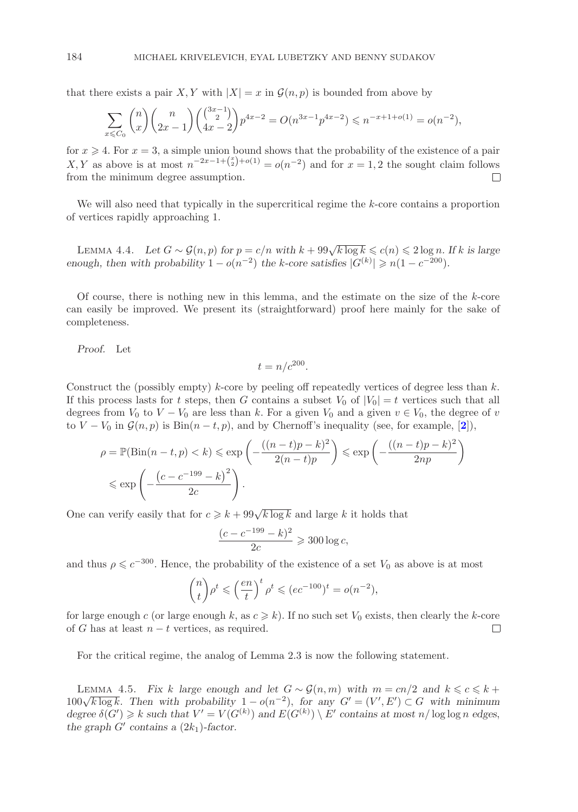that there exists a pair X, Y with  $|X| = x$  in  $\mathcal{G}(n, p)$  is bounded from above by

$$
\sum_{x \leq C_0} \binom{n}{x} \binom{n}{2x-1} \binom{\binom{3x-1}{2}}{4x-2} p^{4x-2} = O(n^{3x-1} p^{4x-2}) \leq n^{-x+1+o(1)} = o(n^{-2}),
$$

for  $x \ge 4$ . For  $x = 3$ , a simple union bound shows that the probability of the existence of a pair  $X, Y$  as above is at most  $n^{-2x-1+\binom{x}{2}+o(1)} = o(n^{-2})$  and for  $x = 1, 2$  the sought claim follows X, Y as above is at most  $n^{-2x-1+\binom{x}{2}+o(1)} = o(n^{-2})$  and for  $x = 1, 2$  the sought claim follows from the minimum degree assumption from the minimum degree assumption.

We will also need that typically in the supercritical regime the k-core contains a proportion of vertices rapidly approaching 1.

LEMMA 4.4. Let  $G \sim \mathcal{G}(n, p)$  for  $p = c/n$  with  $k + 99\sqrt{k \log k} \leq c(n) \leq 2 \log n$ . If k is large *enough, then with probability*  $1 - o(n^{-2})$  *the k-core satisfies*  $|G^{(k)}| \ge n(1 - c^{-200})$ *.* 

Of course, there is nothing new in this lemma, and the estimate on the size of the  $k$ -core can easily be improved. We present its (straightforward) proof here mainly for the sake of completeness.

*Proof.* Let

$$
t = n/c^{200}.
$$

Construct the (possibly empty)  $k$ -core by peeling off repeatedly vertices of degree less than  $k$ . If this process lasts for t steps, then G contains a subset  $V_0$  of  $|V_0| = t$  vertices such that all degrees from  $V_0$  to  $V - V_0$  are less than k. For a given  $V_0$  and a given  $v \in V_0$ , the degree of v to  $V - V_0$  in  $\mathcal{G}(n, p)$  is  $\text{Bin}(n - t, p)$ , and by Chernoff's inequality (see, for example, [**[2](#page-26-9)**]),

$$
\rho = \mathbb{P}(\text{Bin}(n-t, p) < k) \leq \exp\left(-\frac{((n-t)p - k)^2}{2(n-t)p}\right) \leq \exp\left(-\frac{((n-t)p - k)^2}{2np}\right) \leq \exp\left(-\frac{(c - c^{-199} - k)^2}{2c}\right).
$$

One can verify easily that for  $c \geq k + 99\sqrt{k \log k}$  and large k it holds that

$$
\frac{(c - c^{-199} - k)^2}{2c} \ge 300 \log c,
$$

and thus  $\rho \leqslant c^{-300}$ . Hence, the probability of the existence of a set  $V_0$  as above is at most

$$
\binom{n}{t} \rho^t \leqslant \left(\frac{en}{t}\right)^t \rho^t \leqslant (ec^{-100})^t = o(n^{-2}),
$$

for large enough c (or large enough k, as  $c \ge k$ ). If no such set  $V_0$  exists, then clearly the k-core<br>of G has at least  $n-t$  vertices, as required of G has at least  $n - t$  vertices, as required.

For the critical regime, the analog of Lemma 2.3 is now the following statement.

LEMMA 4.5. *Fix* k large enough and let  $G ∼ \mathcal{G}(n, m)$  with  $m = cn/2$  and  $k ≤ c ≤ k +$ LEMMA 4.5. Then with probability  $1 - o(n^{-2})$ , for any  $G' = (V', E') \subset G$  with minimum<br>degree  $\delta(G') > k$  such that  $V' = V(G^{(k)})$  and  $E(G^{(k)}) \setminus F'$  contains at most n/log log n edges  $degree\ \delta(G') \geq k$  *such that*  $V' = V(G^{(k)})$  *and*  $E(G^{(k)}) \setminus E'$  *contains at most*  $n/\log \log n$  *edges,* the graph  $G'$  contains a  $(2k_1)$ -factor the graph  $G'$  contains a  $(2k_1)$ -factor.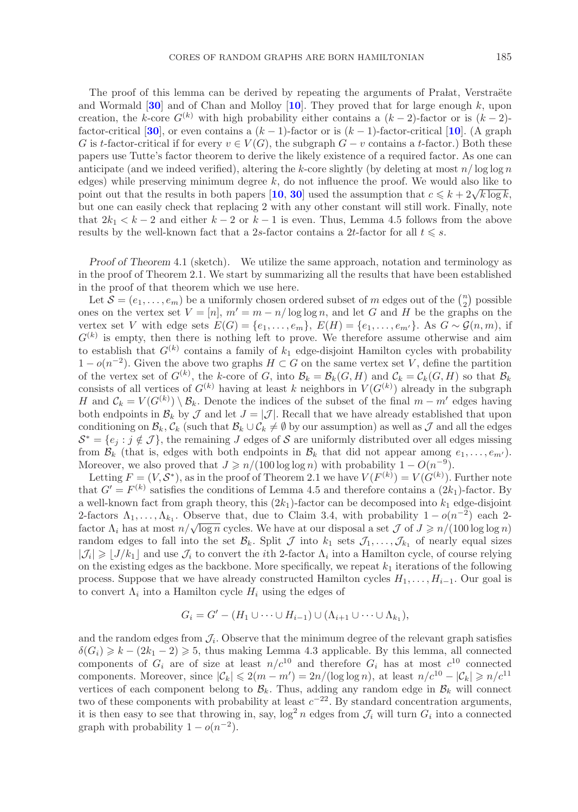The proof of this lemma can be derived by repeating the arguments of Pralat, Verstraëte and Wormald [**[30](#page-27-13)**] and of Chan and Molloy [**[10](#page-26-5)**]. They proved that for large enough k, upon creation, the k-core  $G^{(k)}$  with high probability either contains a  $(k-2)$ -factor or is  $(k-2)$ factor-critical [**[30](#page-27-13)**], or even contains a  $(k-1)$ -factor or is  $(k-1)$ -factor-critical [**[10](#page-26-5)**]. (A graph G is t-factor-critical if for every  $v \in V(G)$ , the subgraph  $G - v$  contains a t-factor.) Both these papers use Tutte's factor theorem to derive the likely existence of a required factor. As one can anticipate (and we indeed verified), altering the k-core slightly (by deleting at most  $n/\log \log n$ edges) while preserving minimum degree  $k$ , do not influence the proof. We would also like to point out that the results in both papers [**[10](#page-26-5)**, **[30](#page-27-13)**] used the assumption that  $c \leq k + 2\sqrt{k \log k}$ , but one can easily check that replacing 2 with any other constant will still work. Finally, note that  $2k_1 < k - 2$  and either  $k - 2$  or  $k - 1$  is even. Thus, Lemma 4.5 follows from the above results by the well-known fact that a 2s-factor contains a 2t-factor for all  $t \leq s$ .

*Proof of Theorem 4.1* (sketch). We utilize the same approach, notation and terminology as in the proof of Theorem 2.1. We start by summarizing all the results that have been established in the proof of that theorem which we use here.

Let  $\mathcal{S} = (e_1, \ldots, e_m)$  be a uniformly chosen ordered subset of m edges out of the  $\binom{n}{2}$  possible<br>es on the vertex set  $V = [n]$ ,  $m' = m = n/\log \log n$ , and let  $G$  and H be the graphs on the ones on the vertex set  $V = [n]$ ,  $m' = m - n/\log \log n$ , and let G and H be the graphs on the vertex set V with edge sets  $E(G) = \{e_1, \ldots, e_m\}$ .  $E(H) = \{e_1, \ldots, e_m\}$ . As  $G \sim G(n, m)$  if vertex set V with edge sets  $E(G) = \{e_1, \ldots, e_m\}$ ,  $E(H) = \{e_1, \ldots, e_{m'}\}$ . As  $G \sim \mathcal{G}(n, m)$ , if  $G^{(k)}$  is empty then there is nothing left to prove. We therefore assume otherwise and aim  $G^{(k)}$  is empty, then there is nothing left to prove. We therefore assume otherwise and aim to establish that  $G^{(k)}$  contains a family of  $k_1$  edge-disjoint Hamilton cycles with probability  $1-o(n^{-2})$ . Given the above two graphs  $H \subset G$  on the same vertex set V, define the partition  $1-o(n^{-2})$ . Given the above two graphs  $H \subset G$  on the same vertex set V, define the partition of the vertex set of  $G^{(k)}$  the k-core of G into  $B_1 = B_1(G, H)$  and  $C_1 = C_1(G, H)$  so that  $B_1$ of the vertex set of  $G^{(k)}$ , the k-core of G, into  $\mathcal{B}_k = \mathcal{B}_k(G, H)$  and  $\mathcal{C}_k = \mathcal{C}_k(G, H)$  so that  $\mathcal{B}_k$ <br>consists of all vertices of  $G^{(k)}$  having at least k neighbors in  $V(G^{(k)})$  already in the subgraph consists of all vertices of  $G^{(k)}$  having at least k neighbors in  $V(G^{(k)})$  already in the subgraph  $H$  and  $C_1 = V(G^{(k)}) \setminus B$ . Denote the indices of the subset of the final  $m = m'$  edges having H and  $\mathcal{C}_k = V(G^{(k)}) \setminus \mathcal{B}_k$ . Denote the indices of the subset of the final  $m - m'$  edges having<br>both endpoints in  $\mathcal{B}_k$ , by  $\mathcal{T}$  and let  $I = |\mathcal{T}|$ . Becall that we have already established that upon both endpoints in  $\mathcal{B}_k$  by  $\mathcal J$  and let  $J = |\mathcal J|$ . Recall that we have already established that upon conditioning on  $\mathcal{B}_k$ ,  $\mathcal{C}_k$  (such that  $\mathcal{B}_k \cup \mathcal{C}_k \neq \emptyset$  by our assumption) as well as  $\mathcal J$  and all the edges  $\mathcal{S}^* = \{e_i : j \notin \mathcal{J}\}\$ , the remaining J edges of S are uniformly distributed over all edges missing from  $\mathcal{B}_k$  (that is, edges with both endpoints in  $\mathcal{B}_k$  that did not appear among  $e_1, \ldots, e_{m'}$ ).<br>Moreover we also proved that  $I \ge n/(100 \log \log n)$  with probability  $1 - O(n^{-9})$ Moreover, we also proved that  $J \geq n/(100 \log \log n)$  with probability  $1 - O(n^{-9})$ .<br>Letting  $F - (V S^*)$  as in the proof of Theorem 2.1 we have  $V(F^{(k)}) - V(G^{(k)})$ .

Letting  $F = (V, S^*)$ , as in the proof of Theorem 2.1 we have  $V(F^{(k)}) = V(G^{(k)})$ . Further note<br>at  $G' = F^{(k)}$  satisfies the conditions of Lemma 4.5 and therefore contains a  $(2k_1)$ -factor. By that  $G' = F^{(k)}$  satisfies the conditions of Lemma 4.5 and therefore contains a  $(2k_1)$ -factor. By<br>a well-known fact from graph theory, this  $(2k_1)$ -factor can be decomposed into k-edge-disjoint a well-known fact from graph theory, this  $(2k_1)$ -factor can be decomposed into  $k_1$  edge-disjoint 2-factors  $\Lambda_1,\ldots,\Lambda_{k_1}$ . Observe that, due to Claim 3.4, with probability  $1-o(n^{-2})$  each 2-2-factor  $Λ_1$ , ...,  $Λ_{k_1}$ . Observe that, due to Claim 5.4, with probability  $1 - θ(n)$  each 2-<br>factor  $Λ_i$  has at most  $n/\sqrt{\log n}$  cycles. We have at our disposal a set  $J$  of  $J \ge n/(100 \log \log n)$ <br>random edges to fall into random edges to fall into the set  $\mathcal{B}_k$ . Split  $\mathcal J$  into  $k_1$  sets  $\mathcal J_1,\ldots,\mathcal J_{k_1}$  of nearly equal sizes  $|\mathcal{J}_i| \geq |J/k_1|$  and use  $\mathcal{J}_i$  to convert the *i*th 2-factor  $\Lambda_i$  into a Hamilton cycle, of course relying<br>on the existing edges as the backbone. More specifically, we repeat  $k_i$  iterations of the following on the existing edges as the backbone. More specifically, we repeat  $k_1$  iterations of the following process. Suppose that we have already constructed Hamilton cycles  $H_1, \ldots, H_{i-1}$ . Our goal is to convert  $\Lambda_i$  into a Hamilton cycle  $H_i$  using the edges of

$$
G_i = G' - (H_1 \cup \cdots \cup H_{i-1}) \cup (\Lambda_{i+1} \cup \cdots \cup \Lambda_{k_1}),
$$

and the random edges from  $\mathcal{J}_i$ . Observe that the minimum degree of the relevant graph satisfies  $\delta(G_i) \geq k - (2k_1 - 2) \geq 5$ , thus making Lemma 4.3 applicable. By this lemma, all connected<br>components of  $G_i$  are of size at least  $n/c^{10}$  and therefore  $G_i$  has at most  $c^{10}$  connected components of  $G_i$  are of size at least  $n/c^{10}$  and therefore  $G_i$  has at most  $c^{10}$  connected components. Moreover, since  $|\mathcal{C}_k| \leqslant 2(m - m') = 2n/(\log \log n)$ , at least  $n/c^{10} - |\mathcal{C}_k| \geqslant$ <br>vertices of each component belong to  $\mathcal{B}_r$ . Thus, adding any random edge in  $\mathcal{B}_r$ , will contain components. Moreover, since  $|\mathcal{C}_k| \leq 2(m-m) = 2n/\log \log n$ , at least  $n/c - |\mathcal{C}_k| \geq n/c$ <br>vertices of each component belong to  $\mathcal{B}_k$ . Thus, adding any random edge in  $\mathcal{B}_k$  will connect two of these components with probability at least  $c^{-22}$ . By standard concentration arguments, it is then easy to see that throwing in, say,  $\log^2 n$  edges from  $\mathcal{J}_i$  will turn  $G_i$  into a connected graph with probability  $1 - o(n^{-2})$ graph with probability  $1 - o(n^{-2})$ .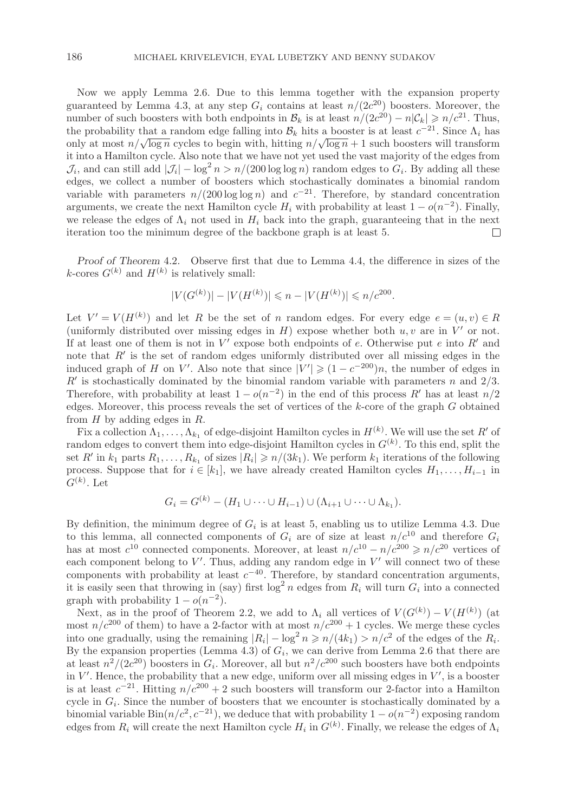Now we apply Lemma 2.6. Due to this lemma together with the expansion property guaranteed by Lemma 4.3, at any step  $G_i$  contains at least  $n/(2c^{20})$  boosters. Moreover, the number of such boosters with both endpoints in  $\mathcal{B}_k$  is at least  $n/(2c^{20}) - n|\mathcal{C}_k| \geq n/c^{21}$ . Thus,<br>the probability that a random edge falling into  $\mathcal{B}_t$ , bits a booster is at least  $c^{-21}$ . Since A, has the probability that a random edge falling into  $\mathcal{B}_k$  hits a booster is at least  $c^{-21}$ . Since  $\Lambda_i$  has only at most  $n/\sqrt{\log n}$  cycles to begin with, hitting  $n/\sqrt{\log n} + 1$  such boosters will transform it into a Hamilton cycle. Also note that we have not yet used the vast majority of the edges from  $\mathcal{J}_i$ , and can still add  $|\mathcal{J}_i| - \log^2 n > n/(200 \log \log n)$  random edges to  $G_i$ . By adding all these edges, we collect a number of boosters which stochastically dominates a binomial random variable with parameters  $n/(200 \log \log n)$  and  $c^{-21}$ . Therefore, by standard concentration arguments, we create the next Hamilton cycle  $H_i$  with probability at least  $1 - o(n^{-2})$ . Finally, we release the edges of  $\Lambda_i$  not used in  $H_i$  back into the graph, guaranteeing that in the next<br>iteration too the minimum degree of the backbone graph is at least 5. iteration too the minimum degree of the backbone graph is at least 5.

*Proof of Theorem* 4.2*.* Observe first that due to Lemma 4.4, the difference in sizes of the k-cores  $G^{(k)}$  and  $H^{(k)}$  is relatively small:

$$
|V(G^{(k)})| - |V(H^{(k)})| \le n - |V(H^{(k)})| \le n/c^{200}.
$$

Let  $V' = V(H^{(k)})$  and let R be the set of n random edges. For every edge  $e = (u, v) \in R$ <br>(uniformly distributed over missing edges in H) expose whether both u v are in V' or not (uniformly distributed over missing edges in H) expose whether both u, v are in  $V'$  or not.<br>If at least one of them is not in  $V'$  expose both endpoints of e. Otherwise put e into  $R'$  and If at least one of them is not in  $V'$  expose both endpoints of e. Otherwise put e into  $R'$  and<br>note that  $R'$  is the set of random edges uniformly distributed over all missing edges in the note that R' is the set of random edges uniformly distributed over all missing edges in the induced graph of H on V'. Also note that since  $|V'| \ge (1 - c^{-200})n$ , the number of edges in induced graph of H on V'. Also note that since  $|V'| \geq (1 - c^{-200})n$ , the number of edges in  $R'$  is stochastically dominated by the binomial random variable with parameters n and 2/3  $R^{\prime}_{\rm\bf Th}$  $R'$  is stochastically dominated by the binomial random variable with parameters n and  $2/3$ . Therefore, with probability at least  $1 - o(n^{-2})$  in the end of this process R' has at least  $n/2$ <br>edges. Moreover, this process reveals the set of vertices of the k-core of the graph G obtained edges. Moreover, this process reveals the set of vertices of the  $k$ -core of the graph  $G$  obtained from  $H$  by adding edges in  $R$ .

Fix a collection  $\Lambda_1, \ldots, \Lambda_{k_1}$  of edge-disjoint Hamilton cycles in  $H^{(k)}$ . We will use the set R' of place of  $S^{(k)}$  and solve the set  $R'$  of place of  $S^{(k)}$ . To this end solve the set of  $S^{(k)}$  and solve the se random edges to convert them into edge-disjoint Hamilton cycles in  $G^{(k)}$ . To this end, split the<br>set  $R'$  in  $k$ , parts  $R$ ,  $R$ , of sizes  $|R \ge n/(3k_1)$ . We perform  $k_2$  iterations of the following set  $R'$  in  $k_1$  parts  $R_1, \ldots, R_{k_1}$  of sizes  $|R_i| \geq n/(3k_1)$ . We perform  $k_1$  iterations of the following<br>process. Suppose that for  $i \in [k_1]$ , we have already created Hamilton cycles  $H_1, \ldots, H_{k_1}$  in process. Suppose that for  $i \in [k_1]$ , we have already created Hamilton cycles  $H_1, \ldots, H_{i-1}$  in  $G^{(k)}$ . Let

$$
G_i = G^{(k)} - (H_1 \cup \cdots \cup H_{i-1}) \cup (\Lambda_{i+1} \cup \cdots \cup \Lambda_{k_1}).
$$

By definition, the minimum degree of  $G_i$  is at least 5, enabling us to utilize Lemma 4.3. Due<br>to this lemma, all connected components of  $G_i$  are of size at least  $n/c^{10}$  and therefore  $G_i$ to this lemma, all connected components of  $G_i$  are of size at least  $n/c^{10}$  and therefore  $G_i$ <br>has at most  $c^{10}$  connected components. Moreover, at least  $n/c^{10} = n/c^{200} > n/c^{20}$  vertices of has at most  $c^{10}$  connected components. Moreover, at least  $n/c^{10} - n/c^{200} \ge n/c^{20}$  vertices of these each component belong to  $V'$ . Thus, adding any random edge in  $V'$ <br>components with probability at least  $c^{-40}$ . Therefore, by standard '. Thus, adding any random edge in  $V'$  will connect two of these components with probability at least  $c^{-40}$ . Therefore, by standard concentration arguments,<br>it is easily seen that throwing in (say) first log<sup>2</sup>n edges from R, will turn G, into a connected it is easily seen that throwing in (say) first  $\log^2 n$  edges from  $R_i$  will turn  $G_i$  into a connected<br>graph with probability  $1 - o(n^{-2})$ graph with probability  $1 - o(n^{-2})$ .

Next, as in the proof of Theorem 2.2, we add to  $\Lambda_i$  all vertices of  $V(G^{(k)}) - V(H^{(k)})$  (at  $n/c^{200}$  of them) to have a 2-factor with at most  $n/c^{200} + 1$  cycles. We merge these cycles most  $n/c^{200}$  of them) to have a 2-factor with at most  $n/c^{200} + 1$  cycles. We merge these cycles into one gradually, using the remaining  $|R_i| - \log^2 n \geq n/(4k_1) > n/c^2$  of the edges of the  $R_i$ .<br>By the expansion properties (Lemma 4.3) of  $G_i$ , we can derive from Lemma 2.6 that there are By the expansion properties (Lemma 4.3) of  $G_i$ , we can derive from Lemma 2.6 that there are at least  $n^2/(2c^{20})$  boosters in  $G_i$ . Moreover, all but  $n^2/c^{200}$  such boosters have both endpoints in V'. Hence, the probability that a new edge, uniform over all missing edges in V', is a booster<br>is at least  $c^{-21}$ . Hitting  $p/c^{200} + 2$  such boosters will transform our 2-factor into a Hamilton is at least  $c^{-21}$ . Hitting  $n/c^{200} + 2$  such boosters will transform our 2-factor into a Hamilton cycle in  $G_i$ . Since the number of boosters that we encounter is stochastically dominated by a binomial variable Bin $(n/c^2, c^{-21})$ , we deduce that with probability  $1 - o(n^{-2})$  exposing random edges from  $R_i$  will create the next Hamilton cycle  $H_i$  in  $G^{(k)}$ . Finally, we release the edges of  $\Lambda_i$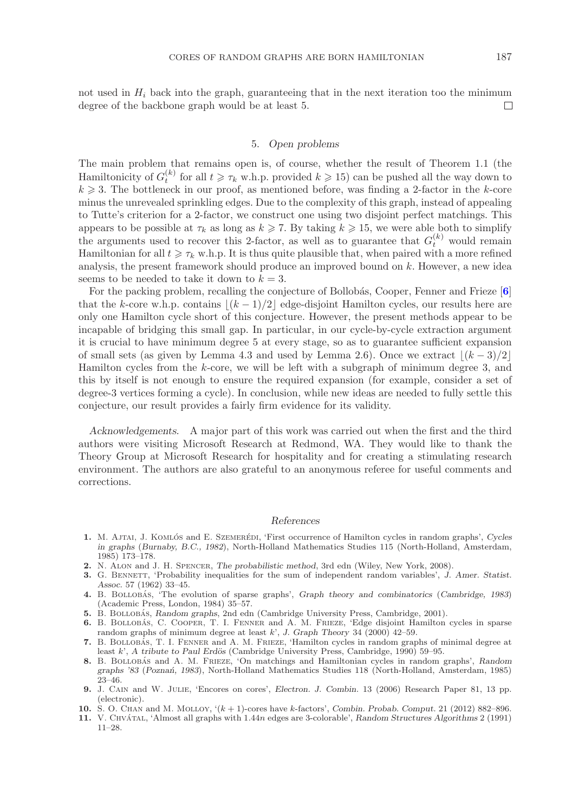not used in  $H_i$  back into the graph, guaranteeing that in the next iteration too the minimum degree of the backbone graph would be at least 5. degree of the backbone graph would be at least 5.

## 5. *Open problems*

The main problem that remains open is, of course, whether the result of Theorem 1.1 (the Hamiltonicity of  $G_k^{(k)}$  for all  $t \geq \tau_k$  w.h.p. provided  $k \geq 15$ ) can be pushed all the way down to  $k > 3$ . The bottleneck in our proof as mentioned before, was finding a 2-factor in the k-core  $k \geqslant 3$ . The bottleneck in our proof, as mentioned before, was finding a 2-factor in the k-core<br>minus the unrevealed sprinkling edges. Due to the complexity of this graph, instead of appealing minus the unrevealed sprinkling edges. Due to the complexity of this graph, instead of appealing to Tutte's criterion for a 2-factor, we construct one using two disjoint perfect matchings. This appears to be possible at  $\tau_k$  as long as  $k \ge 7$ . By taking  $k \ge 15$ , we were able both to simplify<br>the arguments used to recover this 2-factor, as well as to guarantee that  $G^{(k)}$  would remain the arguments used to recover this 2-factor, as well as to guarantee that  $G_t^{(k)}$  would remain<br>Hamiltonian for all  $t > \tau$ , who It is thus quite plausible that when paired with a more refined Hamiltonian for all  $t \geq \tau_k$  w.h.p. It is thus quite plausible that, when paired with a more refined<br>analysis, the present framework should produce an improved bound on k. However, a new idea analysis, the present framework should produce an improved bound on k. However, a new idea seems to be needed to take it down to  $k = 3$ .

For the packing problem, recalling the conjecture of Bollobás, Cooper, Fenner and Frieze [[6](#page-26-2)] that the k-core w.h.p. contains  $|(k-1)/2|$  edge-disjoint Hamilton cycles, our results here are only one Hamilton cycle short of this conjecture. However, the present methods appear to be incapable of bridging this small gap. In particular, in our cycle-by-cycle extraction argument it is crucial to have minimum degree 5 at every stage, so as to guarantee sufficient expansion of small sets (as given by Lemma 4.3 and used by Lemma 2.6). Once we extract  $\lfloor (k-3)/2 \rfloor$ Hamilton cycles from the k-core, we will be left with a subgraph of minimum degree 3, and this by itself is not enough to ensure the required expansion (for example, consider a set of degree-3 vertices forming a cycle). In conclusion, while new ideas are needed to fully settle this conjecture, our result provides a fairly firm evidence for its validity.

*Acknowledgements.* A major part of this work was carried out when the first and the third authors were visiting Microsoft Research at Redmond, WA. They would like to thank the Theory Group at Microsoft Research for hospitality and for creating a stimulating research environment. The authors are also grateful to an anonymous referee for useful comments and corrections.

#### *References*

- <span id="page-26-1"></span>1. M. AJTAI, J. KOMLÓS and E. SZEMERÉDI, 'First occurrence of Hamilton cycles in random graphs', *Cycles in graphs* (*Burnaby, B.C., 1982*), North-Holland Mathematics Studies 115 (North-Holland, Amsterdam, 1985) 173–178.
- <span id="page-26-9"></span>**2.** N. Alon and J. H. Spencer, *The probabilistic method*, 3rd edn (Wiley, New York, 2008).
- <span id="page-26-7"></span>**3.** G. Bennett, 'Probability inequalities for the sum of independent random variables', *J. Amer. Statist. Assoc.* 57 (1962) 33–45.
- <span id="page-26-0"></span>**4.** B. Bollobas´ , 'The evolution of sparse graphs', *Graph theory and combinatorics* (*Cambridge, 1983*) (Academic Press, London, 1984) 35–57.
- <span id="page-26-6"></span>5. B. BOLLOBÁS, *Random graphs*, 2nd edn (Cambridge University Press, Cambridge, 2001).
- <span id="page-26-2"></span>6. B. BOLLOBÁS, C. COOPER, T. I. FENNER and A. M. FRIEZE, 'Edge disjoint Hamilton cycles in sparse random graphs of minimum degree at least *k*', *J. Graph Theory* 34 (2000) 42–59.
- <span id="page-26-3"></span>**7.** B. BOLLOBAS, T. I. FENNER and A. M. FRIEZE, 'Hamilton cycles in random graphs of minimal degree at least *k*', *A tribute to Paul Erdös* (Cambridge University Press, Cambridge, 1990) 59–95.
- <span id="page-26-8"></span>**8.** B. Bollobas´ and A. M. Frieze, 'On matchings and Hamiltonian cycles in random graphs', *Random graphs '83* (*Pozna´n, 1983*), North-Holland Mathematics Studies 118 (North-Holland, Amsterdam, 1985) 23–46.
- <span id="page-26-4"></span>**9.** J. Cain and W. Julie, 'Encores on cores', *Electron. J. Combin.* 13 (2006) Research Paper 81, 13 pp. (electronic).
- <span id="page-26-5"></span>**10.** S. O. Chan and M. Molloy, '(*k* + 1)-cores have *k*-factors', *Combin. Probab. Comput.* 21 (2012) 882–896.
- 11. V. CHVÁTAL, 'Almost all graphs with 1.44*n* edges are 3-colorable', *Random Structures Algorithms* 2 (1991) 11–28.